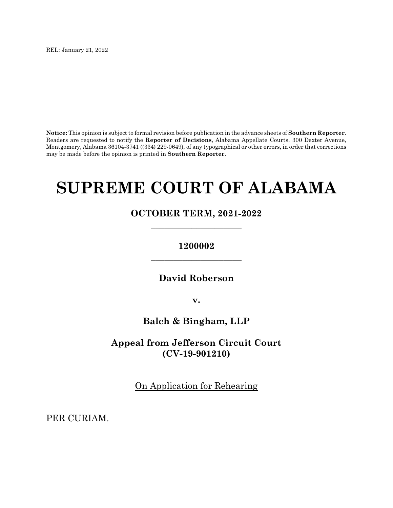REL: January 21, 2022

**Notice:** This opinion is subject to formal revision before publication in the advance sheets of **Southern Reporter**. Readers are requested to notify the **Reporter of Decisions**, Alabama Appellate Courts, 300 Dexter Avenue, Montgomery, Alabama 36104-3741 ((334) 229-0649), of any typographical or other errors, in order that corrections may be made before the opinion is printed in **Southern Reporter**.

# **SUPREME COURT OF ALABAMA**

# **OCTOBER TERM, 2021-2022 \_\_\_\_\_\_\_\_\_\_\_\_\_\_\_\_\_\_\_\_**

# **1200002 \_\_\_\_\_\_\_\_\_\_\_\_\_\_\_\_\_\_\_\_**

**David Roberson**

**v.**

# **Balch & Bingham, LLP**

**Appeal from Jefferson Circuit Court (CV-19-901210)**

On Application for Rehearing

PER CURIAM.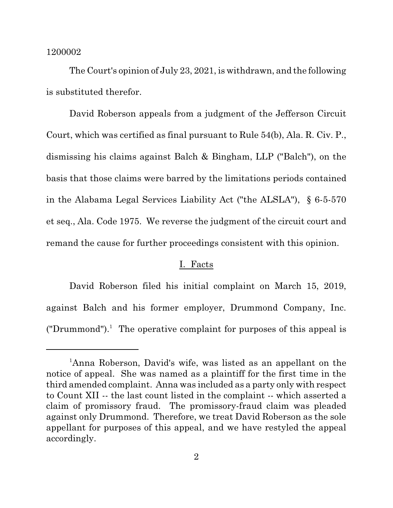The Court's opinion of July 23, 2021, is withdrawn, and the following is substituted therefor.

David Roberson appeals from a judgment of the Jefferson Circuit Court, which was certified as final pursuant to Rule 54(b), Ala. R. Civ. P., dismissing his claims against Balch & Bingham, LLP ("Balch"), on the basis that those claims were barred by the limitations periods contained in the Alabama Legal Services Liability Act ("the ALSLA"), § 6-5-570 et seq., Ala. Code 1975. We reverse the judgment of the circuit court and remand the cause for further proceedings consistent with this opinion.

## I. Facts

David Roberson filed his initial complaint on March 15, 2019, against Balch and his former employer, Drummond Company, Inc. ("Drummond").<sup>1</sup> The operative complaint for purposes of this appeal is

<sup>&</sup>lt;sup>1</sup>Anna Roberson, David's wife, was listed as an appellant on the notice of appeal. She was named as a plaintiff for the first time in the third amended complaint. Anna was included as a party only with respect to Count XII -- the last count listed in the complaint -- which asserted a claim of promissory fraud. The promissory-fraud claim was pleaded against only Drummond. Therefore, we treat David Roberson as the sole appellant for purposes of this appeal, and we have restyled the appeal accordingly.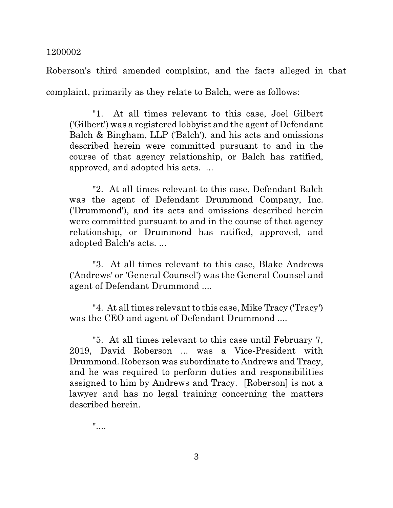Roberson's third amended complaint, and the facts alleged in that complaint, primarily as they relate to Balch, were as follows:

"1. At all times relevant to this case, Joel Gilbert ('Gilbert') was a registered lobbyist and the agent of Defendant Balch & Bingham, LLP ('Balch'), and his acts and omissions described herein were committed pursuant to and in the course of that agency relationship, or Balch has ratified, approved, and adopted his acts. ...

"2. At all times relevant to this case, Defendant Balch was the agent of Defendant Drummond Company, Inc. ('Drummond'), and its acts and omissions described herein were committed pursuant to and in the course of that agency relationship, or Drummond has ratified, approved, and adopted Balch's acts. ...

"3. At all times relevant to this case, Blake Andrews ('Andrews' or 'General Counsel') was the General Counsel and agent of Defendant Drummond ....

"4. At all times relevant to this case, Mike Tracy ('Tracy') was the CEO and agent of Defendant Drummond ....

"5. At all times relevant to this case until February 7, 2019, David Roberson ... was a Vice-President with Drummond. Roberson was subordinate to Andrews and Tracy, and he was required to perform duties and responsibilities assigned to him by Andrews and Tracy. [Roberson] is not a lawyer and has no legal training concerning the matters described herein.

"....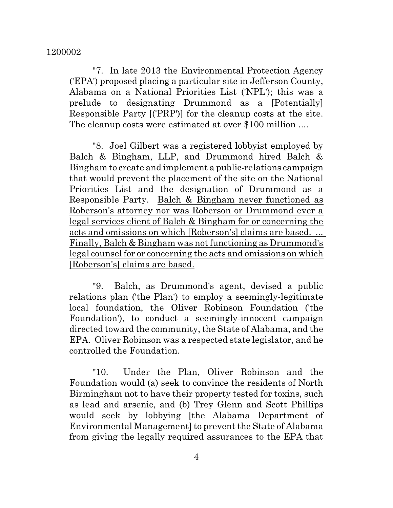"7. In late 2013 the Environmental Protection Agency ('EPA') proposed placing a particular site in Jefferson County, Alabama on a National Priorities List ('NPL'); this was a prelude to designating Drummond as a [Potentially] Responsible Party [('PRP')] for the cleanup costs at the site. The cleanup costs were estimated at over \$100 million ....

"8. Joel Gilbert was a registered lobbyist employed by Balch & Bingham, LLP, and Drummond hired Balch & Bingham to create and implement a public-relations campaign that would prevent the placement of the site on the National Priorities List and the designation of Drummond as a Responsible Party. Balch & Bingham never functioned as Roberson's attorney nor was Roberson or Drummond ever a legal services client of Balch & Bingham for or concerning the acts and omissions on which [Roberson's] claims are based. ... Finally, Balch & Bingham was not functioning as Drummond's legal counsel for or concerning the acts and omissions on which [Roberson's] claims are based.

"9. Balch, as Drummond's agent, devised a public relations plan ('the Plan') to employ a seemingly-legitimate local foundation, the Oliver Robinson Foundation ('the Foundation'), to conduct a seemingly-innocent campaign directed toward the community, the State of Alabama, and the EPA. Oliver Robinson was a respected state legislator, and he controlled the Foundation.

"10. Under the Plan, Oliver Robinson and the Foundation would (a) seek to convince the residents of North Birmingham not to have their property tested for toxins, such as lead and arsenic, and (b) Trey Glenn and Scott Phillips would seek by lobbying [the Alabama Department of Environmental Management] to prevent the State of Alabama from giving the legally required assurances to the EPA that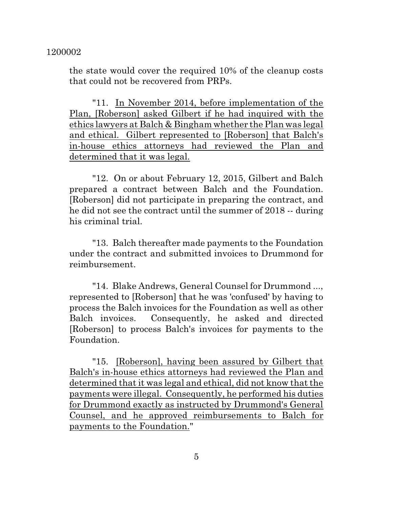the state would cover the required 10% of the cleanup costs that could not be recovered from PRPs.

"11. In November 2014, before implementation of the Plan, [Roberson] asked Gilbert if he had inquired with the ethics lawyers at Balch & Bingham whether the Plan was legal and ethical. Gilbert represented to [Roberson] that Balch's in-house ethics attorneys had reviewed the Plan and determined that it was legal.

"12. On or about February 12, 2015, Gilbert and Balch prepared a contract between Balch and the Foundation. [Roberson] did not participate in preparing the contract, and he did not see the contract until the summer of 2018 -- during his criminal trial.

"13. Balch thereafter made payments to the Foundation under the contract and submitted invoices to Drummond for reimbursement.

"14. Blake Andrews, General Counsel for Drummond ..., represented to [Roberson] that he was 'confused' by having to process the Balch invoices for the Foundation as well as other Balch invoices. Consequently, he asked and directed [Roberson] to process Balch's invoices for payments to the Foundation.

"15. [Roberson], having been assured by Gilbert that Balch's in-house ethics attorneys had reviewed the Plan and determined that it was legal and ethical, did not know that the payments were illegal. Consequently, he performed his duties for Drummond exactly as instructed by Drummond's General Counsel, and he approved reimbursements to Balch for payments to the Foundation."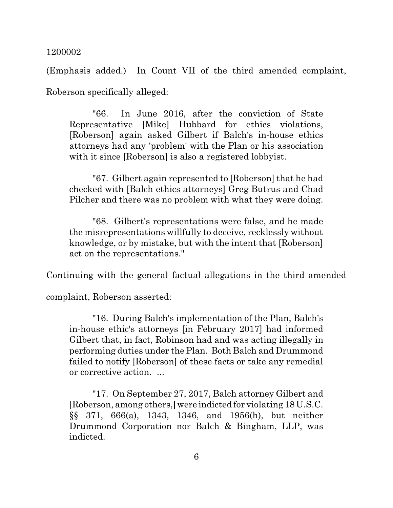(Emphasis added.) In Count VII of the third amended complaint, Roberson specifically alleged:

"66. In June 2016, after the conviction of State Representative [Mike] Hubbard for ethics violations, [Roberson] again asked Gilbert if Balch's in-house ethics attorneys had any 'problem' with the Plan or his association with it since [Roberson] is also a registered lobbyist.

"67. Gilbert again represented to [Roberson] that he had checked with [Balch ethics attorneys] Greg Butrus and Chad Pilcher and there was no problem with what they were doing.

"68. Gilbert's representations were false, and he made the misrepresentations willfully to deceive, recklessly without knowledge, or by mistake, but with the intent that [Roberson] act on the representations."

Continuing with the general factual allegations in the third amended

complaint, Roberson asserted:

"16. During Balch's implementation of the Plan, Balch's in-house ethic's attorneys [in February 2017] had informed Gilbert that, in fact, Robinson had and was acting illegally in performing duties under the Plan. Both Balch and Drummond failed to notify [Roberson] of these facts or take any remedial or corrective action. ...

"17. On September 27, 2017, Balch attorney Gilbert and [Roberson, among others,]were indicted for violating 18 U.S.C. §§ 371, 666(a), 1343, 1346, and 1956(h), but neither Drummond Corporation nor Balch & Bingham, LLP, was indicted.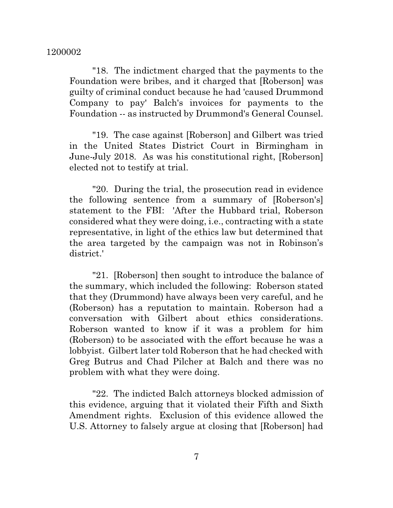"18. The indictment charged that the payments to the Foundation were bribes, and it charged that [Roberson] was guilty of criminal conduct because he had 'caused Drummond Company to pay' Balch's invoices for payments to the Foundation -- as instructed by Drummond's General Counsel.

"19. The case against [Roberson] and Gilbert was tried in the United States District Court in Birmingham in June-July 2018. As was his constitutional right, [Roberson] elected not to testify at trial.

"20. During the trial, the prosecution read in evidence the following sentence from a summary of [Roberson's] statement to the FBI: 'After the Hubbard trial, Roberson considered what they were doing, i.e., contracting with a state representative, in light of the ethics law but determined that the area targeted by the campaign was not in Robinson's district.'

"21. [Roberson] then sought to introduce the balance of the summary, which included the following: Roberson stated that they (Drummond) have always been very careful, and he (Roberson) has a reputation to maintain. Roberson had a conversation with Gilbert about ethics considerations. Roberson wanted to know if it was a problem for him (Roberson) to be associated with the effort because he was a lobbyist. Gilbert later told Roberson that he had checked with Greg Butrus and Chad Pilcher at Balch and there was no problem with what they were doing.

"22. The indicted Balch attorneys blocked admission of this evidence, arguing that it violated their Fifth and Sixth Amendment rights. Exclusion of this evidence allowed the U.S. Attorney to falsely argue at closing that [Roberson] had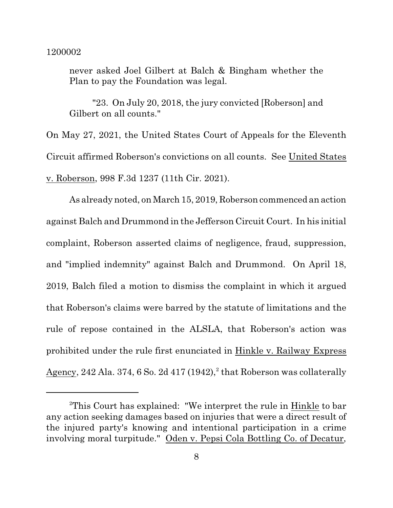never asked Joel Gilbert at Balch & Bingham whether the Plan to pay the Foundation was legal.

"23. On July 20, 2018, the jury convicted [Roberson] and Gilbert on all counts."

On May 27, 2021, the United States Court of Appeals for the Eleventh Circuit affirmed Roberson's convictions on all counts. See United States v. Roberson, 998 F.3d 1237 (11th Cir. 2021).

As already noted, on March 15, 2019, Roberson commenced an action against Balch and Drummond in the Jefferson Circuit Court. In his initial complaint, Roberson asserted claims of negligence, fraud, suppression, and "implied indemnity" against Balch and Drummond. On April 18, 2019, Balch filed a motion to dismiss the complaint in which it argued that Roberson's claims were barred by the statute of limitations and the rule of repose contained in the ALSLA, that Roberson's action was prohibited under the rule first enunciated in Hinkle v. Railway Express  $\rm{Agency}, 242$  Ala. 374, 6 So. 2d 417 (1942), $^2$  that Roberson was collaterally

<sup>2</sup>This Court has explained: "We interpret the rule in Hinkle to bar any action seeking damages based on injuries that were a direct result of the injured party's knowing and intentional participation in a crime involving moral turpitude." Oden v. Pepsi Cola Bottling Co. of Decatur,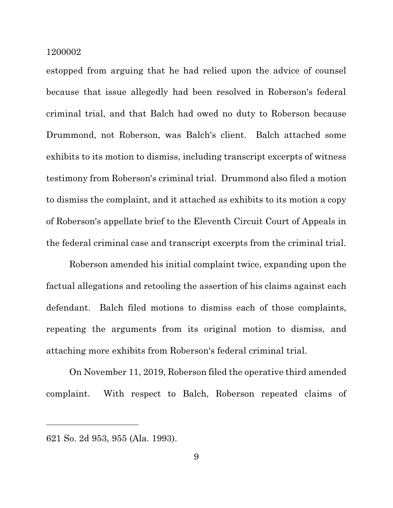estopped from arguing that he had relied upon the advice of counsel because that issue allegedly had been resolved in Roberson's federal criminal trial, and that Balch had owed no duty to Roberson because Drummond, not Roberson, was Balch's client. Balch attached some exhibits to its motion to dismiss, including transcript excerpts of witness testimony from Roberson's criminal trial. Drummond also filed a motion to dismiss the complaint, and it attached as exhibits to its motion a copy of Roberson's appellate brief to the Eleventh Circuit Court of Appeals in the federal criminal case and transcript excerpts from the criminal trial.

Roberson amended his initial complaint twice, expanding upon the factual allegations and retooling the assertion of his claims against each defendant. Balch filed motions to dismiss each of those complaints, repeating the arguments from its original motion to dismiss, and attaching more exhibits from Roberson's federal criminal trial.

On November 11, 2019, Roberson filed the operative third amended complaint. With respect to Balch, Roberson repeated claims of

<sup>621</sup> So. 2d 953, 955 (Ala. 1993).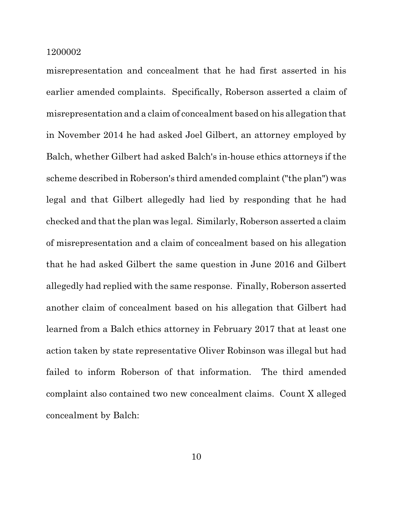misrepresentation and concealment that he had first asserted in his earlier amended complaints. Specifically, Roberson asserted a claim of misrepresentation and a claim of concealment based on his allegation that in November 2014 he had asked Joel Gilbert, an attorney employed by Balch, whether Gilbert had asked Balch's in-house ethics attorneys if the scheme described in Roberson's third amended complaint ("the plan") was legal and that Gilbert allegedly had lied by responding that he had checked and that the plan was legal. Similarly, Roberson asserted a claim of misrepresentation and a claim of concealment based on his allegation that he had asked Gilbert the same question in June 2016 and Gilbert allegedly had replied with the same response. Finally, Roberson asserted another claim of concealment based on his allegation that Gilbert had learned from a Balch ethics attorney in February 2017 that at least one action taken by state representative Oliver Robinson was illegal but had failed to inform Roberson of that information. The third amended complaint also contained two new concealment claims. Count X alleged concealment by Balch: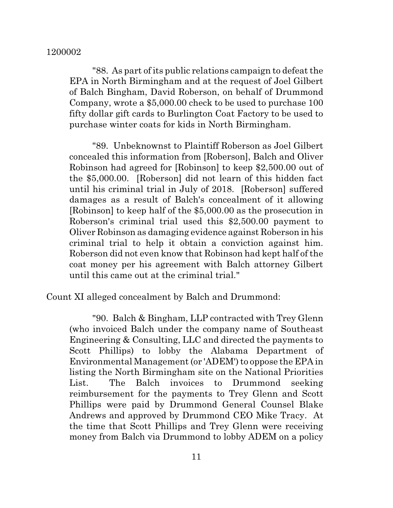"88. As part of its public relations campaign to defeat the EPA in North Birmingham and at the request of Joel Gilbert of Balch Bingham, David Roberson, on behalf of Drummond Company, wrote a \$5,000.00 check to be used to purchase 100 fifty dollar gift cards to Burlington Coat Factory to be used to purchase winter coats for kids in North Birmingham.

"89. Unbeknownst to Plaintiff Roberson as Joel Gilbert concealed this information from [Roberson], Balch and Oliver Robinson had agreed for [Robinson] to keep \$2,500.00 out of the \$5,000.00. [Roberson] did not learn of this hidden fact until his criminal trial in July of 2018. [Roberson] suffered damages as a result of Balch's concealment of it allowing [Robinson] to keep half of the \$5,000.00 as the prosecution in Roberson's criminal trial used this \$2,500.00 payment to Oliver Robinson as damaging evidence against Roberson in his criminal trial to help it obtain a conviction against him. Roberson did not even know that Robinson had kept half of the coat money per his agreement with Balch attorney Gilbert until this came out at the criminal trial."

Count XI alleged concealment by Balch and Drummond:

"90. Balch & Bingham, LLP contracted with Trey Glenn (who invoiced Balch under the company name of Southeast Engineering & Consulting, LLC and directed the payments to Scott Phillips) to lobby the Alabama Department of Environmental Management (or 'ADEM') to oppose the EPA in listing the North Birmingham site on the National Priorities List. The Balch invoices to Drummond seeking reimbursement for the payments to Trey Glenn and Scott Phillips were paid by Drummond General Counsel Blake Andrews and approved by Drummond CEO Mike Tracy. At the time that Scott Phillips and Trey Glenn were receiving money from Balch via Drummond to lobby ADEM on a policy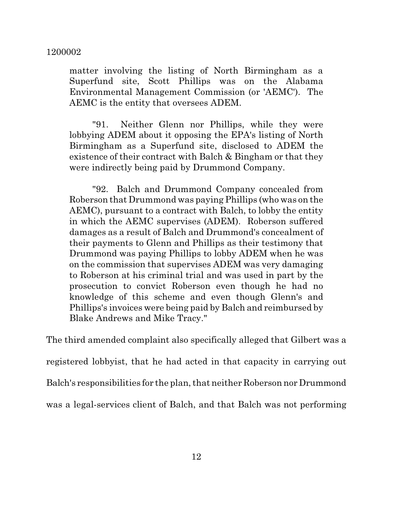matter involving the listing of North Birmingham as a Superfund site, Scott Phillips was on the Alabama Environmental Management Commission (or 'AEMC'). The AEMC is the entity that oversees ADEM.

"91. Neither Glenn nor Phillips, while they were lobbying ADEM about it opposing the EPA's listing of North Birmingham as a Superfund site, disclosed to ADEM the existence of their contract with Balch & Bingham or that they were indirectly being paid by Drummond Company.

"92. Balch and Drummond Company concealed from Roberson that Drummond was paying Phillips (who was on the AEMC), pursuant to a contract with Balch, to lobby the entity in which the AEMC supervises (ADEM). Roberson suffered damages as a result of Balch and Drummond's concealment of their payments to Glenn and Phillips as their testimony that Drummond was paying Phillips to lobby ADEM when he was on the commission that supervises ADEM was very damaging to Roberson at his criminal trial and was used in part by the prosecution to convict Roberson even though he had no knowledge of this scheme and even though Glenn's and Phillips's invoices were being paid by Balch and reimbursed by Blake Andrews and Mike Tracy."

The third amended complaint also specifically alleged that Gilbert was a registered lobbyist, that he had acted in that capacity in carrying out Balch's responsibilities for the plan, that neither Roberson nor Drummond was a legal-services client of Balch, and that Balch was not performing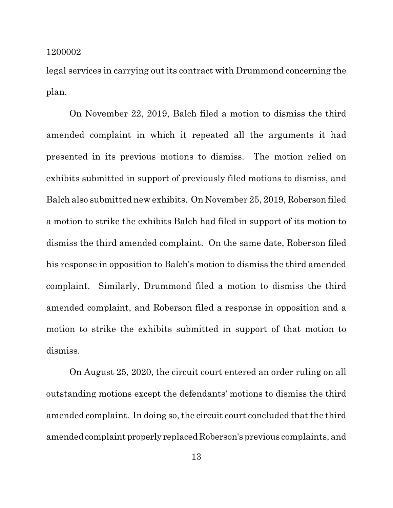legal services in carrying out its contract with Drummond concerning the plan.

On November 22, 2019, Balch filed a motion to dismiss the third amended complaint in which it repeated all the arguments it had presented in its previous motions to dismiss. The motion relied on exhibits submitted in support of previously filed motions to dismiss, and Balch also submitted new exhibits. On November 25, 2019, Roberson filed a motion to strike the exhibits Balch had filed in support of its motion to dismiss the third amended complaint. On the same date, Roberson filed his response in opposition to Balch's motion to dismiss the third amended complaint. Similarly, Drummond filed a motion to dismiss the third amended complaint, and Roberson filed a response in opposition and a motion to strike the exhibits submitted in support of that motion to dismiss.

On August 25, 2020, the circuit court entered an order ruling on all outstanding motions except the defendants' motions to dismiss the third amended complaint. In doing so, the circuit court concluded that the third amended complaint properly replaced Roberson's previous complaints, and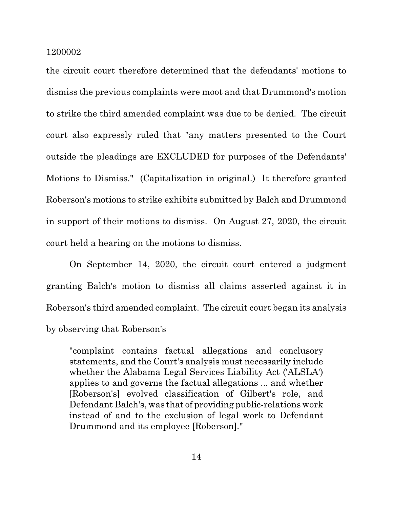the circuit court therefore determined that the defendants' motions to dismiss the previous complaints were moot and that Drummond's motion to strike the third amended complaint was due to be denied. The circuit court also expressly ruled that "any matters presented to the Court outside the pleadings are EXCLUDED for purposes of the Defendants' Motions to Dismiss." (Capitalization in original.) It therefore granted Roberson's motions to strike exhibits submitted by Balch and Drummond in support of their motions to dismiss. On August 27, 2020, the circuit court held a hearing on the motions to dismiss.

On September 14, 2020, the circuit court entered a judgment granting Balch's motion to dismiss all claims asserted against it in Roberson's third amended complaint. The circuit court began its analysis by observing that Roberson's

"complaint contains factual allegations and conclusory statements, and the Court's analysis must necessarily include whether the Alabama Legal Services Liability Act ('ALSLA') applies to and governs the factual allegations ... and whether [Roberson's] evolved classification of Gilbert's role, and Defendant Balch's, was that of providing public-relations work instead of and to the exclusion of legal work to Defendant Drummond and its employee [Roberson]."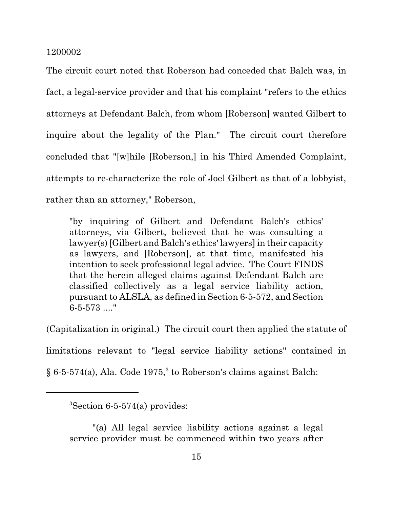The circuit court noted that Roberson had conceded that Balch was, in fact, a legal-service provider and that his complaint "refers to the ethics attorneys at Defendant Balch, from whom [Roberson] wanted Gilbert to inquire about the legality of the Plan." The circuit court therefore concluded that "[w]hile [Roberson,] in his Third Amended Complaint, attempts to re-characterize the role of Joel Gilbert as that of a lobbyist, rather than an attorney," Roberson,

"by inquiring of Gilbert and Defendant Balch's ethics' attorneys, via Gilbert, believed that he was consulting a lawyer(s) [Gilbert and Balch's ethics' lawyers] in their capacity as lawyers, and [Roberson], at that time, manifested his intention to seek professional legal advice. The Court FINDS that the herein alleged claims against Defendant Balch are classified collectively as a legal service liability action, pursuant to ALSLA, as defined in Section 6-5-572, and Section 6-5-573 ...."

(Capitalization in original.) The circuit court then applied the statute of limitations relevant to "legal service liability actions" contained in  $\S 6$ -5-574(a), Ala. Code 1975,<sup>3</sup> to Roberson's claims against Balch:

 ${}^{3}$ Section 6-5-574(a) provides:

<sup>&</sup>quot;(a) All legal service liability actions against a legal service provider must be commenced within two years after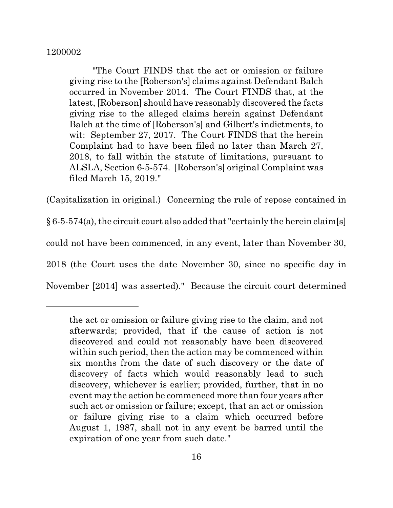"The Court FINDS that the act or omission or failure giving rise to the [Roberson's] claims against Defendant Balch occurred in November 2014. The Court FINDS that, at the latest, [Roberson] should have reasonably discovered the facts giving rise to the alleged claims herein against Defendant Balch at the time of [Roberson's] and Gilbert's indictments, to wit: September 27, 2017. The Court FINDS that the herein Complaint had to have been filed no later than March 27, 2018, to fall within the statute of limitations, pursuant to ALSLA, Section 6-5-574. [Roberson's] original Complaint was filed March 15, 2019."

(Capitalization in original.) Concerning the rule of repose contained in

 $§ 6-5-574(a)$ , the circuit court also added that "certainly the herein claim[s]

could not have been commenced, in any event, later than November 30,

2018 (the Court uses the date November 30, since no specific day in

November [2014] was asserted)." Because the circuit court determined

the act or omission or failure giving rise to the claim, and not afterwards; provided, that if the cause of action is not discovered and could not reasonably have been discovered within such period, then the action may be commenced within six months from the date of such discovery or the date of discovery of facts which would reasonably lead to such discovery, whichever is earlier; provided, further, that in no event may the action be commenced more than four years after such act or omission or failure; except, that an act or omission or failure giving rise to a claim which occurred before August 1, 1987, shall not in any event be barred until the expiration of one year from such date."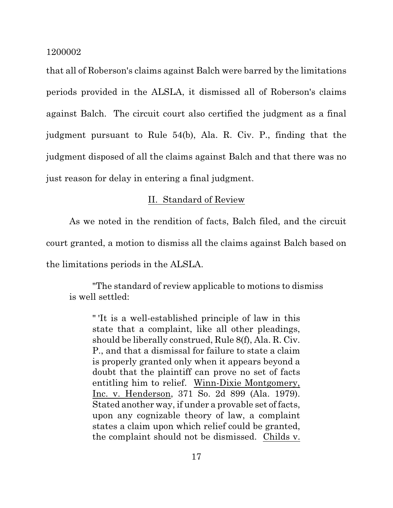that all of Roberson's claims against Balch were barred by the limitations periods provided in the ALSLA, it dismissed all of Roberson's claims against Balch. The circuit court also certified the judgment as a final judgment pursuant to Rule 54(b), Ala. R. Civ. P., finding that the judgment disposed of all the claims against Balch and that there was no just reason for delay in entering a final judgment.

# II. Standard of Review

As we noted in the rendition of facts, Balch filed, and the circuit court granted, a motion to dismiss all the claims against Balch based on the limitations periods in the ALSLA.

"The standard of review applicable to motions to dismiss is well settled:

" 'It is a well-established principle of law in this state that a complaint, like all other pleadings, should be liberally construed, Rule 8(f), Ala. R. Civ. P., and that a dismissal for failure to state a claim is properly granted only when it appears beyond a doubt that the plaintiff can prove no set of facts entitling him to relief. Winn-Dixie Montgomery, Inc. v. Henderson, 371 So. 2d 899 (Ala. 1979). Stated another way, if under a provable set of facts, upon any cognizable theory of law, a complaint states a claim upon which relief could be granted, the complaint should not be dismissed. Childs v.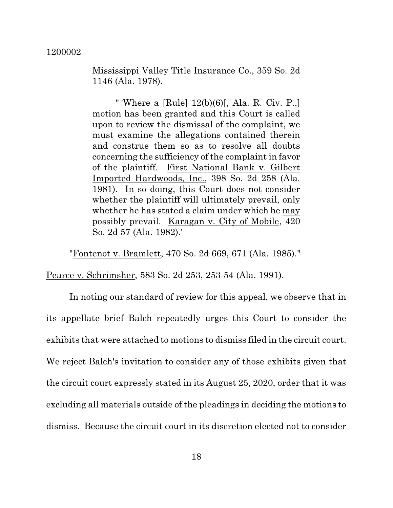Mississippi Valley Title Insurance Co., 359 So. 2d 1146 (Ala. 1978).

" 'Where a [Rule] 12(b)(6)[, Ala. R. Civ. P.,] motion has been granted and this Court is called upon to review the dismissal of the complaint, we must examine the allegations contained therein and construe them so as to resolve all doubts concerning the sufficiency of the complaint in favor of the plaintiff. First National Bank v. Gilbert Imported Hardwoods, Inc., 398 So. 2d 258 (Ala. 1981). In so doing, this Court does not consider whether the plaintiff will ultimately prevail, only whether he has stated a claim under which he may possibly prevail. Karagan v. City of Mobile, 420 So. 2d 57 (Ala. 1982).'

"Fontenot v. Bramlett, 470 So. 2d 669, 671 (Ala. 1985)."

Pearce v. Schrimsher, 583 So. 2d 253, 253-54 (Ala. 1991).

In noting our standard of review for this appeal, we observe that in its appellate brief Balch repeatedly urges this Court to consider the exhibits that were attached to motions to dismiss filed in the circuit court. We reject Balch's invitation to consider any of those exhibits given that the circuit court expressly stated in its August 25, 2020, order that it was excluding all materials outside of the pleadings in deciding the motions to dismiss. Because the circuit court in its discretion elected not to consider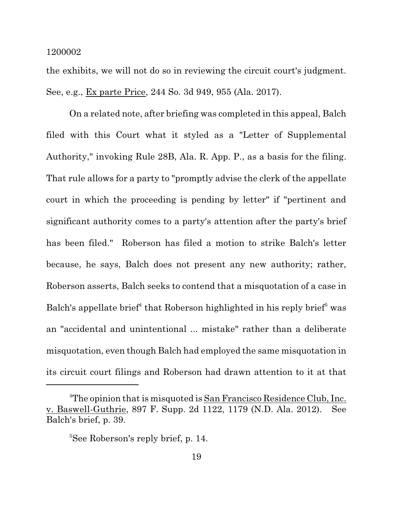the exhibits, we will not do so in reviewing the circuit court's judgment. See, e.g., Ex parte Price, 244 So. 3d 949, 955 (Ala. 2017).

On a related note, after briefing was completed in this appeal, Balch filed with this Court what it styled as a "Letter of Supplemental Authority," invoking Rule 28B, Ala. R. App. P., as a basis for the filing. That rule allows for a party to "promptly advise the clerk of the appellate court in which the proceeding is pending by letter" if "pertinent and significant authority comes to a party's attention after the party's brief has been filed." Roberson has filed a motion to strike Balch's letter because, he says, Balch does not present any new authority; rather, Roberson asserts, Balch seeks to contend that a misquotation of a case in Balch's appellate brief<sup>4</sup> that Roberson highlighted in his reply brief<sup>5</sup> was an "accidental and unintentional ... mistake" rather than a deliberate misquotation, even though Balch had employed the same misquotation in its circuit court filings and Roberson had drawn attention to it at that

<sup>&</sup>lt;sup>4</sup>The opinion that is misquoted is San Francisco Residence Club, Inc. v. Baswell-Guthrie, 897 F. Supp. 2d 1122, 1179 (N.D. Ala. 2012). See Balch's brief, p. 39.

<sup>&</sup>lt;sup>5</sup>See Roberson's reply brief, p. 14.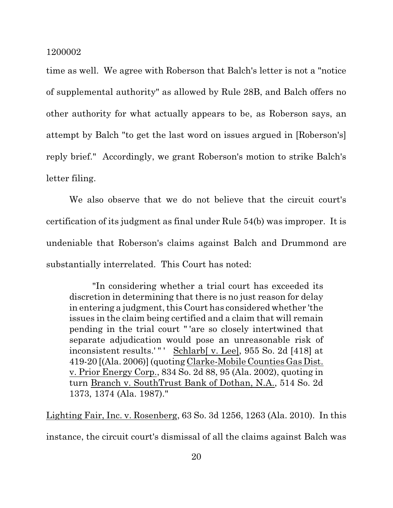time as well. We agree with Roberson that Balch's letter is not a "notice of supplemental authority" as allowed by Rule 28B, and Balch offers no other authority for what actually appears to be, as Roberson says, an attempt by Balch "to get the last word on issues argued in [Roberson's] reply brief." Accordingly, we grant Roberson's motion to strike Balch's letter filing.

We also observe that we do not believe that the circuit court's certification of its judgment as final under Rule 54(b) was improper. It is undeniable that Roberson's claims against Balch and Drummond are substantially interrelated. This Court has noted:

"In considering whether a trial court has exceeded its discretion in determining that there is no just reason for delay in entering a judgment, this Court has considered whether 'the issues in the claim being certified and a claim that will remain pending in the trial court " 'are so closely intertwined that separate adjudication would pose an unreasonable risk of inconsistent results.' " ' Schlarb[ v. Lee], 955 So. 2d [418] at 419-20 [(Ala. 2006)] (quoting Clarke-Mobile Counties Gas Dist. v. Prior Energy Corp., 834 So. 2d 88, 95 (Ala. 2002), quoting in turn Branch v. SouthTrust Bank of Dothan, N.A., 514 So. 2d 1373, 1374 (Ala. 1987)."

Lighting Fair, Inc. v. Rosenberg, 63 So. 3d 1256, 1263 (Ala. 2010). In this instance, the circuit court's dismissal of all the claims against Balch was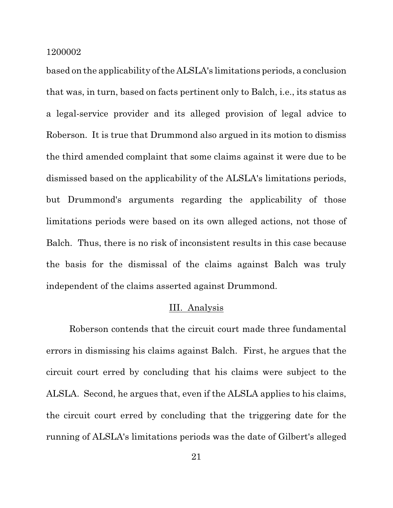based on the applicability of the ALSLA's limitations periods, a conclusion that was, in turn, based on facts pertinent only to Balch, i.e., its status as a legal-service provider and its alleged provision of legal advice to Roberson. It is true that Drummond also argued in its motion to dismiss the third amended complaint that some claims against it were due to be dismissed based on the applicability of the ALSLA's limitations periods, but Drummond's arguments regarding the applicability of those limitations periods were based on its own alleged actions, not those of Balch. Thus, there is no risk of inconsistent results in this case because the basis for the dismissal of the claims against Balch was truly independent of the claims asserted against Drummond.

## III. Analysis

Roberson contends that the circuit court made three fundamental errors in dismissing his claims against Balch. First, he argues that the circuit court erred by concluding that his claims were subject to the ALSLA. Second, he argues that, even if the ALSLA applies to his claims, the circuit court erred by concluding that the triggering date for the running of ALSLA's limitations periods was the date of Gilbert's alleged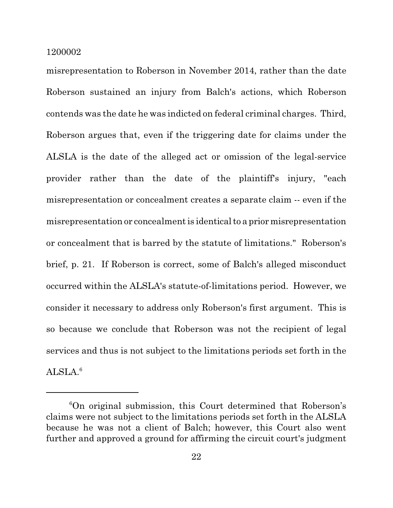misrepresentation to Roberson in November 2014, rather than the date Roberson sustained an injury from Balch's actions, which Roberson contends was the date he was indicted on federal criminal charges. Third, Roberson argues that, even if the triggering date for claims under the ALSLA is the date of the alleged act or omission of the legal-service provider rather than the date of the plaintiff's injury, "each misrepresentation or concealment creates a separate claim -- even if the misrepresentation or concealment is identical to a prior misrepresentation or concealment that is barred by the statute of limitations." Roberson's brief, p. 21. If Roberson is correct, some of Balch's alleged misconduct occurred within the ALSLA's statute-of-limitations period. However, we consider it necessary to address only Roberson's first argument. This is so because we conclude that Roberson was not the recipient of legal services and thus is not subject to the limitations periods set forth in the  $ALSLA<sup>6</sup>$ 

 $6$ On original submission, this Court determined that Roberson's claims were not subject to the limitations periods set forth in the ALSLA because he was not a client of Balch; however, this Court also went further and approved a ground for affirming the circuit court's judgment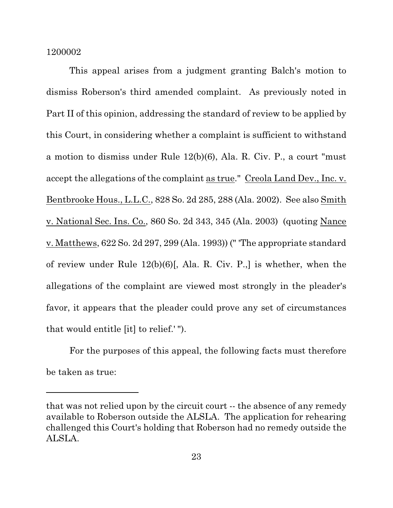This appeal arises from a judgment granting Balch's motion to dismiss Roberson's third amended complaint. As previously noted in Part II of this opinion, addressing the standard of review to be applied by this Court, in considering whether a complaint is sufficient to withstand a motion to dismiss under Rule 12(b)(6), Ala. R. Civ. P., a court "must accept the allegations of the complaint as true." Creola Land Dev., Inc. v. Bentbrooke Hous., L.L.C., 828 So. 2d 285, 288 (Ala. 2002). See also Smith v. National Sec. Ins. Co., 860 So. 2d 343, 345 (Ala. 2003) (quoting Nance v. Matthews, 622 So. 2d 297, 299 (Ala. 1993)) (" 'The appropriate standard of review under Rule 12(b)(6)[, Ala. R. Civ. P.,] is whether, when the allegations of the complaint are viewed most strongly in the pleader's favor, it appears that the pleader could prove any set of circumstances that would entitle [it] to relief.' ").

For the purposes of this appeal, the following facts must therefore be taken as true:

that was not relied upon by the circuit court -- the absence of any remedy available to Roberson outside the ALSLA. The application for rehearing challenged this Court's holding that Roberson had no remedy outside the ALSLA.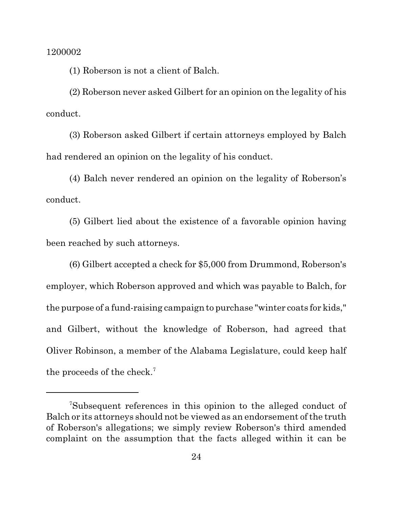(1) Roberson is not a client of Balch.

(2) Roberson never asked Gilbert for an opinion on the legality of his conduct.

(3) Roberson asked Gilbert if certain attorneys employed by Balch had rendered an opinion on the legality of his conduct.

(4) Balch never rendered an opinion on the legality of Roberson's conduct.

(5) Gilbert lied about the existence of a favorable opinion having been reached by such attorneys.

(6) Gilbert accepted a check for \$5,000 from Drummond, Roberson's employer, which Roberson approved and which was payable to Balch, for the purpose of a fund-raising campaign to purchase "winter coats for kids," and Gilbert, without the knowledge of Roberson, had agreed that Oliver Robinson, a member of the Alabama Legislature, could keep half the proceeds of the check.<sup>7</sup>

<sup>7</sup>Subsequent references in this opinion to the alleged conduct of Balch or its attorneys should not be viewed as an endorsement of the truth of Roberson's allegations; we simply review Roberson's third amended complaint on the assumption that the facts alleged within it can be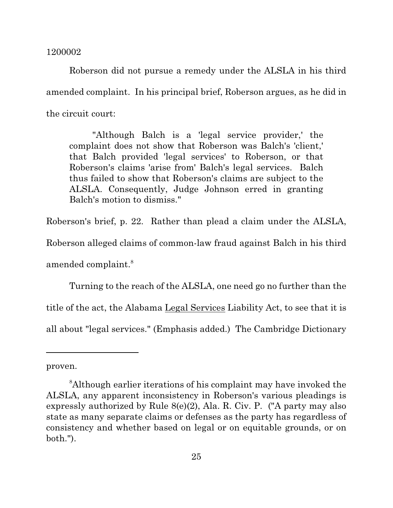Roberson did not pursue a remedy under the ALSLA in his third amended complaint. In his principal brief, Roberson argues, as he did in the circuit court:

"Although Balch is a 'legal service provider,' the complaint does not show that Roberson was Balch's 'client,' that Balch provided 'legal services' to Roberson, or that Roberson's claims 'arise from' Balch's legal services. Balch thus failed to show that Roberson's claims are subject to the ALSLA. Consequently, Judge Johnson erred in granting Balch's motion to dismiss."

Roberson's brief, p. 22. Rather than plead a claim under the ALSLA,

Roberson alleged claims of common-law fraud against Balch in his third amended complaint. 8

Turning to the reach of the ALSLA, one need go no further than the title of the act, the Alabama Legal Services Liability Act, to see that it is all about "legal services." (Emphasis added.) The Cambridge Dictionary

proven.

<sup>&</sup>lt;sup>8</sup>Although earlier iterations of his complaint may have invoked the ALSLA, any apparent inconsistency in Roberson's various pleadings is expressly authorized by Rule 8(e)(2), Ala. R. Civ. P. ("A party may also state as many separate claims or defenses as the party has regardless of consistency and whether based on legal or on equitable grounds, or on both.").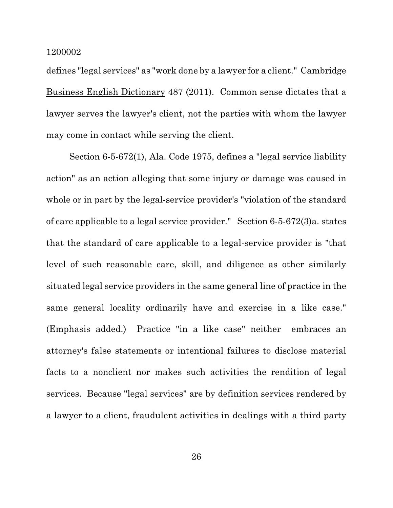defines "legal services" as "work done by a lawyer for a client." Cambridge Business English Dictionary 487 (2011). Common sense dictates that a lawyer serves the lawyer's client, not the parties with whom the lawyer may come in contact while serving the client.

Section 6-5-672(1), Ala. Code 1975, defines a "legal service liability action" as an action alleging that some injury or damage was caused in whole or in part by the legal-service provider's "violation of the standard of care applicable to a legal service provider." Section 6-5-672(3)a. states that the standard of care applicable to a legal-service provider is "that level of such reasonable care, skill, and diligence as other similarly situated legal service providers in the same general line of practice in the same general locality ordinarily have and exercise in a like case." (Emphasis added.) Practice "in a like case" neither embraces an attorney's false statements or intentional failures to disclose material facts to a nonclient nor makes such activities the rendition of legal services. Because "legal services" are by definition services rendered by a lawyer to a client, fraudulent activities in dealings with a third party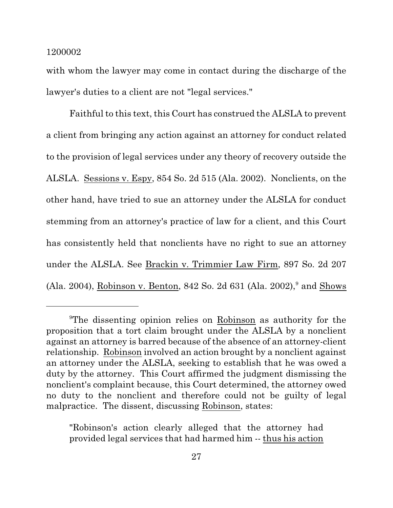with whom the lawyer may come in contact during the discharge of the lawyer's duties to a client are not "legal services."

Faithful to this text, this Court has construed the ALSLA to prevent a client from bringing any action against an attorney for conduct related to the provision of legal services under any theory of recovery outside the ALSLA. Sessions v. Espy, 854 So. 2d 515 (Ala. 2002). Nonclients, on the other hand, have tried to sue an attorney under the ALSLA for conduct stemming from an attorney's practice of law for a client, and this Court has consistently held that nonclients have no right to sue an attorney under the ALSLA. See Brackin v. Trimmier Law Firm, 897 So. 2d 207 (Ala. 2004), Robinson v. Benton, 842 So. 2d 631 (Ala. 2002),<sup>9</sup> and Shows

"Robinson's action clearly alleged that the attorney had provided legal services that had harmed him -- thus his action

<sup>9</sup>The dissenting opinion relies on Robinson as authority for the proposition that a tort claim brought under the ALSLA by a nonclient against an attorney is barred because of the absence of an attorney-client relationship. Robinson involved an action brought by a nonclient against an attorney under the ALSLA, seeking to establish that he was owed a duty by the attorney. This Court affirmed the judgment dismissing the nonclient's complaint because, this Court determined, the attorney owed no duty to the nonclient and therefore could not be guilty of legal malpractice. The dissent, discussing Robinson, states: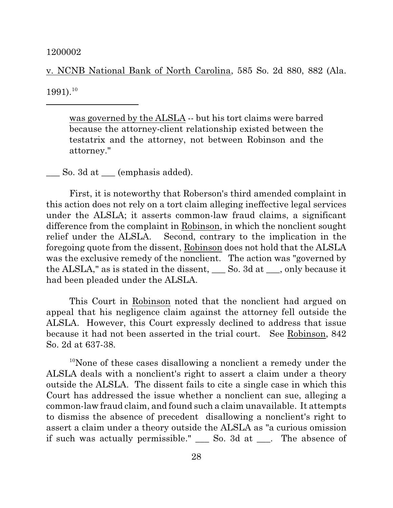v. NCNB National Bank of North Carolina, 585 So. 2d 880, 882 (Ala.

 $1991$ .<sup>10</sup>

was governed by the ALSLA -- but his tort claims were barred because the attorney-client relationship existed between the testatrix and the attorney, not between Robinson and the attorney."

\_\_\_ So. 3d at \_\_\_ (emphasis added).

First, it is noteworthy that Roberson's third amended complaint in this action does not rely on a tort claim alleging ineffective legal services under the ALSLA; it asserts common-law fraud claims, a significant difference from the complaint in Robinson, in which the nonclient sought relief under the ALSLA. Second, contrary to the implication in the foregoing quote from the dissent, Robinson does not hold that the ALSLA was the exclusive remedy of the nonclient. The action was "governed by the ALSLA," as is stated in the dissent, \_\_\_ So. 3d at \_\_\_, only because it had been pleaded under the ALSLA.

This Court in Robinson noted that the nonclient had argued on appeal that his negligence claim against the attorney fell outside the ALSLA. However, this Court expressly declined to address that issue because it had not been asserted in the trial court. See Robinson, 842 So. 2d at 637-38.

<sup>10</sup>None of these cases disallowing a nonclient a remedy under the ALSLA deals with a nonclient's right to assert a claim under a theory outside the ALSLA. The dissent fails to cite a single case in which this Court has addressed the issue whether a nonclient can sue, alleging a common-law fraud claim, and found such a claim unavailable. It attempts to dismiss the absence of precedent disallowing a nonclient's right to assert a claim under a theory outside the ALSLA as "a curious omission if such was actually permissible." \_\_\_ So. 3d at \_\_\_. The absence of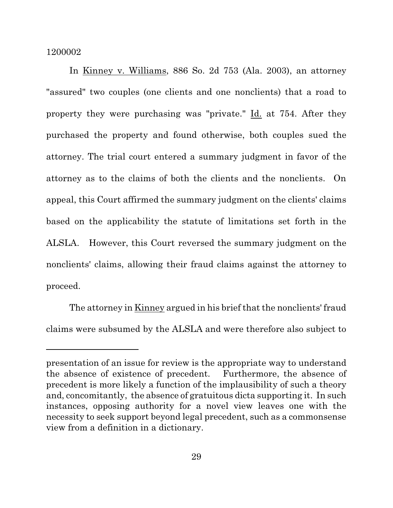In Kinney v. Williams, 886 So. 2d 753 (Ala. 2003), an attorney "assured" two couples (one clients and one nonclients) that a road to property they were purchasing was "private." Id. at 754. After they purchased the property and found otherwise, both couples sued the attorney. The trial court entered a summary judgment in favor of the attorney as to the claims of both the clients and the nonclients. On appeal, this Court affirmed the summary judgment on the clients' claims based on the applicability the statute of limitations set forth in the ALSLA. However, this Court reversed the summary judgment on the nonclients' claims, allowing their fraud claims against the attorney to proceed.

The attorney in Kinney argued in his brief that the nonclients' fraud claims were subsumed by the ALSLA and were therefore also subject to

presentation of an issue for review is the appropriate way to understand the absence of existence of precedent. Furthermore, the absence of precedent is more likely a function of the implausibility of such a theory and, concomitantly, the absence of gratuitous dicta supporting it. In such instances, opposing authority for a novel view leaves one with the necessity to seek support beyond legal precedent, such as a commonsense view from a definition in a dictionary.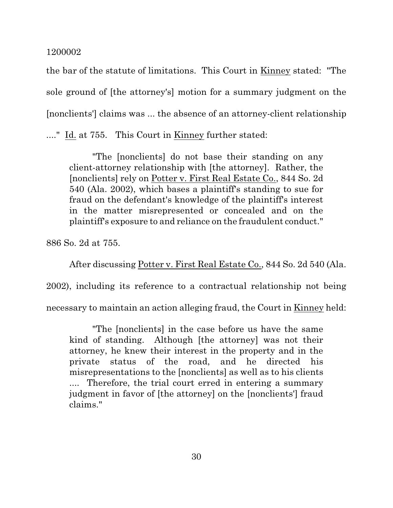the bar of the statute of limitations. This Court in Kinney stated: "The sole ground of [the attorney's] motion for a summary judgment on the [nonclients'] claims was ... the absence of an attorney-client relationship ...." Id. at 755. This Court in Kinney further stated:

"The [nonclients] do not base their standing on any client-attorney relationship with [the attorney]. Rather, the [nonclients] rely on Potter v. First Real Estate Co., 844 So. 2d 540 (Ala. 2002), which bases a plaintiff's standing to sue for fraud on the defendant's knowledge of the plaintiff's interest in the matter misrepresented or concealed and on the plaintiff's exposure to and reliance on the fraudulent conduct."

886 So. 2d at 755.

After discussing Potter v. First Real Estate Co., 844 So. 2d 540 (Ala.

2002), including its reference to a contractual relationship not being

necessary to maintain an action alleging fraud, the Court in Kinney held:

"The [nonclients] in the case before us have the same kind of standing. Although [the attorney] was not their attorney, he knew their interest in the property and in the private status of the road, and he directed his misrepresentations to the [nonclients] as well as to his clients .... Therefore, the trial court erred in entering a summary judgment in favor of [the attorney] on the [nonclients'] fraud claims."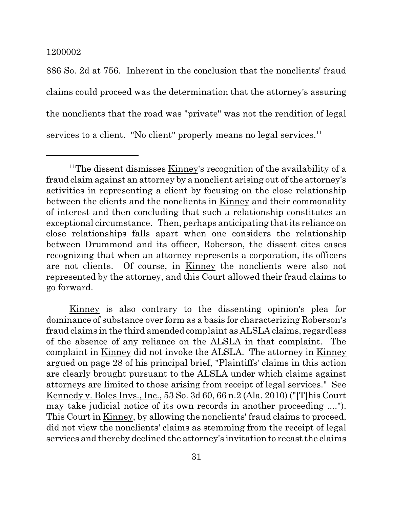886 So. 2d at 756. Inherent in the conclusion that the nonclients' fraud claims could proceed was the determination that the attorney's assuring the nonclients that the road was "private" was not the rendition of legal services to a client. "No client" properly means no legal services.<sup>11</sup>

<sup>&</sup>lt;sup>11</sup>The dissent dismisses Kinney's recognition of the availability of a fraud claim against an attorney by a nonclient arising out of the attorney's activities in representing a client by focusing on the close relationship between the clients and the nonclients in Kinney and their commonality of interest and then concluding that such a relationship constitutes an exceptional circumstance. Then, perhaps anticipating that its reliance on close relationships falls apart when one considers the relationship between Drummond and its officer, Roberson, the dissent cites cases recognizing that when an attorney represents a corporation, its officers are not clients. Of course, in Kinney the nonclients were also not represented by the attorney, and this Court allowed their fraud claims to go forward.

Kinney is also contrary to the dissenting opinion's plea for dominance of substance over form as a basis for characterizing Roberson's fraud claims in the third amended complaint as ALSLA claims, regardless of the absence of any reliance on the ALSLA in that complaint. The complaint in Kinney did not invoke the ALSLA. The attorney in Kinney argued on page 28 of his principal brief, "Plaintiffs' claims in this action are clearly brought pursuant to the ALSLA under which claims against attorneys are limited to those arising from receipt of legal services." See Kennedy v. Boles Invs., Inc., 53 So. 3d 60, 66 n.2 (Ala. 2010) ("[T]his Court may take judicial notice of its own records in another proceeding ...."). This Court in Kinney, by allowing the nonclients' fraud claims to proceed, did not view the nonclients' claims as stemming from the receipt of legal services and thereby declined the attorney's invitation to recast the claims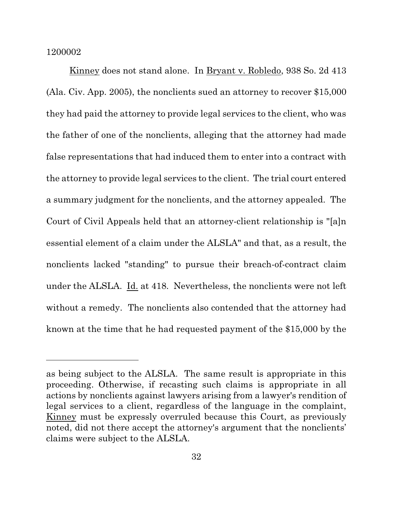Kinney does not stand alone. In Bryant v. Robledo, 938 So. 2d 413 (Ala. Civ. App. 2005), the nonclients sued an attorney to recover \$15,000 they had paid the attorney to provide legal services to the client, who was the father of one of the nonclients, alleging that the attorney had made false representations that had induced them to enter into a contract with the attorney to provide legal services to the client. The trial court entered a summary judgment for the nonclients, and the attorney appealed. The Court of Civil Appeals held that an attorney-client relationship is "[a]n essential element of a claim under the ALSLA" and that, as a result, the nonclients lacked "standing" to pursue their breach-of-contract claim under the ALSLA. Id. at 418. Nevertheless, the nonclients were not left without a remedy. The nonclients also contended that the attorney had known at the time that he had requested payment of the \$15,000 by the

as being subject to the ALSLA. The same result is appropriate in this proceeding. Otherwise, if recasting such claims is appropriate in all actions by nonclients against lawyers arising from a lawyer's rendition of legal services to a client, regardless of the language in the complaint, Kinney must be expressly overruled because this Court, as previously noted, did not there accept the attorney's argument that the nonclients' claims were subject to the ALSLA.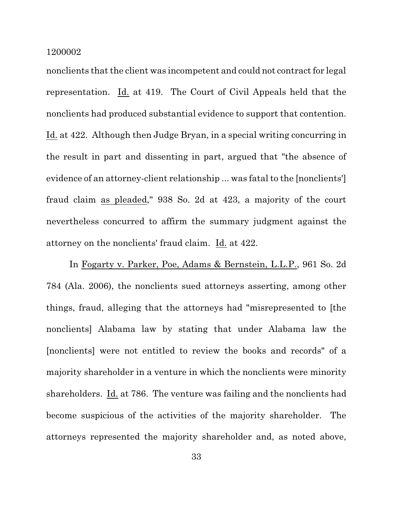nonclients that the client was incompetent and could not contract for legal representation. Id. at 419. The Court of Civil Appeals held that the nonclients had produced substantial evidence to support that contention. Id. at 422. Although then Judge Bryan, in a special writing concurring in the result in part and dissenting in part, argued that "the absence of evidence of an attorney-client relationship ... was fatal to the [nonclients'] fraud claim as pleaded," 938 So. 2d at 423, a majority of the court nevertheless concurred to affirm the summary judgment against the attorney on the nonclients' fraud claim. Id. at 422.

In Fogarty v. Parker, Poe, Adams & Bernstein, L.L.P., 961 So. 2d 784 (Ala. 2006), the nonclients sued attorneys asserting, among other things, fraud, alleging that the attorneys had "misrepresented to [the nonclients] Alabama law by stating that under Alabama law the [nonclients] were not entitled to review the books and records" of a majority shareholder in a venture in which the nonclients were minority shareholders. Id. at 786. The venture was failing and the nonclients had become suspicious of the activities of the majority shareholder. The attorneys represented the majority shareholder and, as noted above,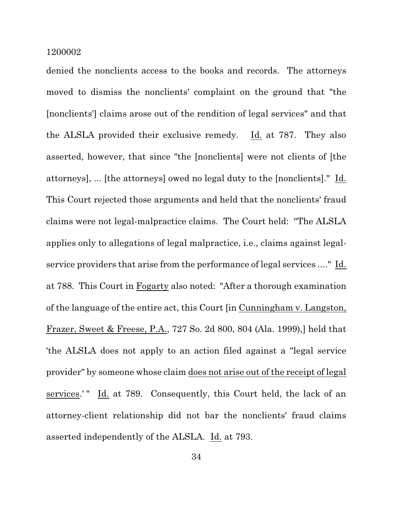denied the nonclients access to the books and records. The attorneys moved to dismiss the nonclients' complaint on the ground that "the [nonclients'] claims arose out of the rendition of legal services" and that the ALSLA provided their exclusive remedy. Id. at 787. They also asserted, however, that since "the [nonclients] were not clients of [the attorneys], ... [the attorneys] owed no legal duty to the [nonclients]." Id. This Court rejected those arguments and held that the nonclients' fraud claims were not legal-malpractice claims. The Court held: "The ALSLA applies only to allegations of legal malpractice, i.e., claims against legalservice providers that arise from the performance of legal services ...." Id. at 788. This Court in Fogarty also noted: "After a thorough examination of the language of the entire act, this Court [in Cunningham v. Langston, Frazer, Sweet & Freese, P.A., 727 So. 2d 800, 804 (Ala. 1999),] held that 'the ALSLA does not apply to an action filed against a "legal service provider" by someone whose claim does not arise out of the receipt of legal services.'" Id. at 789. Consequently, this Court held, the lack of an attorney-client relationship did not bar the nonclients' fraud claims asserted independently of the ALSLA. Id. at 793.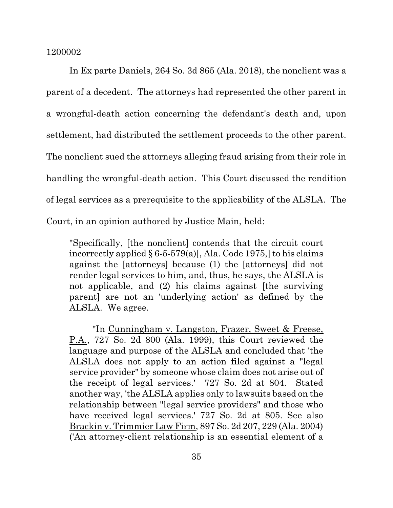In Ex parte Daniels, 264 So. 3d 865 (Ala. 2018), the nonclient was a parent of a decedent. The attorneys had represented the other parent in a wrongful-death action concerning the defendant's death and, upon settlement, had distributed the settlement proceeds to the other parent. The nonclient sued the attorneys alleging fraud arising from their role in handling the wrongful-death action. This Court discussed the rendition of legal services as a prerequisite to the applicability of the ALSLA. The Court, in an opinion authored by Justice Main, held:

"Specifically, [the nonclient] contends that the circuit court incorrectly applied  $\S 6$ -5-579(a)[, Ala. Code 1975,] to his claims against the [attorneys] because (1) the [attorneys] did not render legal services to him, and, thus, he says, the ALSLA is not applicable, and (2) his claims against [the surviving parent] are not an 'underlying action' as defined by the ALSLA. We agree.

"In Cunningham v. Langston, Frazer, Sweet & Freese, P.A., 727 So. 2d 800 (Ala. 1999), this Court reviewed the language and purpose of the ALSLA and concluded that 'the ALSLA does not apply to an action filed against a "legal service provider" by someone whose claim does not arise out of the receipt of legal services.' 727 So. 2d at 804. Stated another way, 'the ALSLA applies only to lawsuits based on the relationship between "legal service providers" and those who have received legal services.' 727 So. 2d at 805. See also Brackin v. Trimmier Law Firm, 897 So. 2d 207, 229 (Ala. 2004) ('An attorney-client relationship is an essential element of a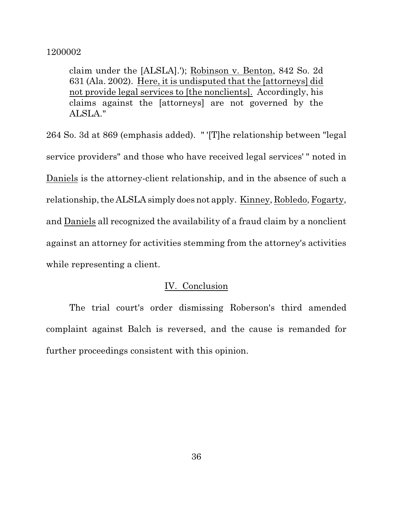claim under the [ALSLA].'); Robinson v. Benton, 842 So. 2d 631 (Ala. 2002). Here, it is undisputed that the [attorneys] did not provide legal services to [the nonclients]. Accordingly, his claims against the [attorneys] are not governed by the ALSLA."

264 So. 3d at 869 (emphasis added). " '[T]he relationship between "legal service providers" and those who have received legal services' " noted in Daniels is the attorney-client relationship, and in the absence of such a relationship, the ALSLA simply does not apply. Kinney, Robledo, Fogarty, and Daniels all recognized the availability of a fraud claim by a nonclient against an attorney for activities stemming from the attorney's activities while representing a client.

## IV. Conclusion

The trial court's order dismissing Roberson's third amended complaint against Balch is reversed, and the cause is remanded for further proceedings consistent with this opinion.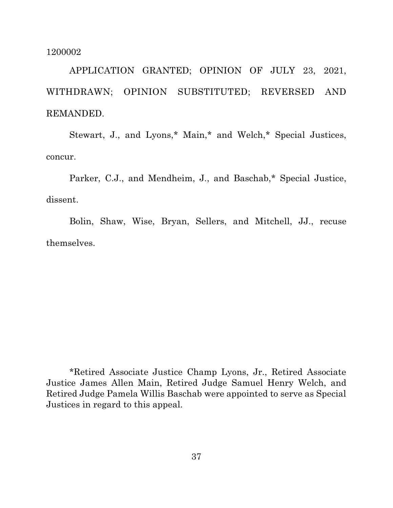APPLICATION GRANTED; OPINION OF JULY 23, 2021, WITHDRAWN; OPINION SUBSTITUTED; REVERSED AND REMANDED.

Stewart, J., and Lyons,\* Main,\* and Welch,\* Special Justices, concur.

Parker, C.J., and Mendheim, J., and Baschab,\* Special Justice, dissent.

Bolin, Shaw, Wise, Bryan, Sellers, and Mitchell, JJ., recuse themselves.

\*Retired Associate Justice Champ Lyons, Jr., Retired Associate Justice James Allen Main, Retired Judge Samuel Henry Welch, and Retired Judge Pamela Willis Baschab were appointed to serve as Special Justices in regard to this appeal.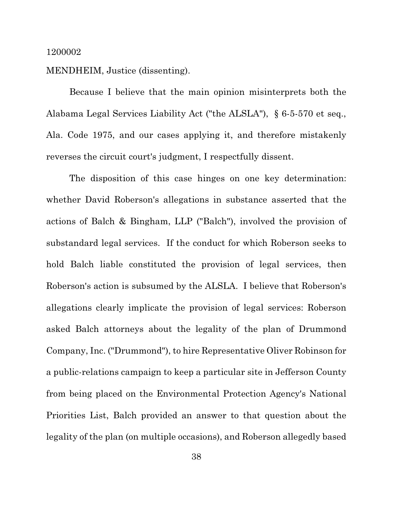## MENDHEIM, Justice (dissenting).

Because I believe that the main opinion misinterprets both the Alabama Legal Services Liability Act ("the ALSLA"), § 6-5-570 et seq., Ala. Code 1975, and our cases applying it, and therefore mistakenly reverses the circuit court's judgment, I respectfully dissent.

The disposition of this case hinges on one key determination: whether David Roberson's allegations in substance asserted that the actions of Balch & Bingham, LLP ("Balch"), involved the provision of substandard legal services. If the conduct for which Roberson seeks to hold Balch liable constituted the provision of legal services, then Roberson's action is subsumed by the ALSLA. I believe that Roberson's allegations clearly implicate the provision of legal services: Roberson asked Balch attorneys about the legality of the plan of Drummond Company, Inc. ("Drummond"), to hire Representative Oliver Robinson for a public-relations campaign to keep a particular site in Jefferson County from being placed on the Environmental Protection Agency's National Priorities List, Balch provided an answer to that question about the legality of the plan (on multiple occasions), and Roberson allegedly based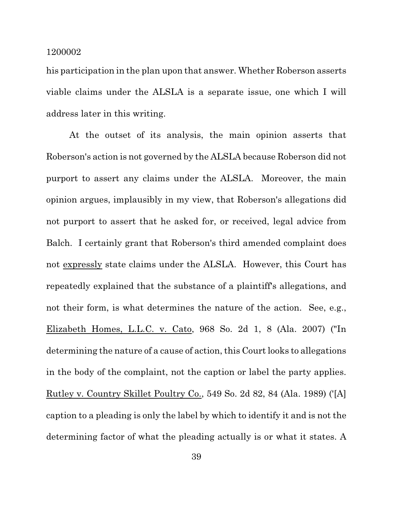his participation in the plan upon that answer. Whether Roberson asserts viable claims under the ALSLA is a separate issue, one which I will address later in this writing.

At the outset of its analysis, the main opinion asserts that Roberson's action is not governed by the ALSLA because Roberson did not purport to assert any claims under the ALSLA. Moreover, the main opinion argues, implausibly in my view, that Roberson's allegations did not purport to assert that he asked for, or received, legal advice from Balch. I certainly grant that Roberson's third amended complaint does not expressly state claims under the ALSLA. However, this Court has repeatedly explained that the substance of a plaintiff's allegations, and not their form, is what determines the nature of the action. See, e.g., Elizabeth Homes, L.L.C. v. Cato, 968 So. 2d 1, 8 (Ala. 2007) ("In determining the nature of a cause of action, this Court looks to allegations in the body of the complaint, not the caption or label the party applies. Rutley v. Country Skillet Poultry Co., 549 So. 2d 82, 84 (Ala. 1989) ('[A] caption to a pleading is only the label by which to identify it and is not the determining factor of what the pleading actually is or what it states. A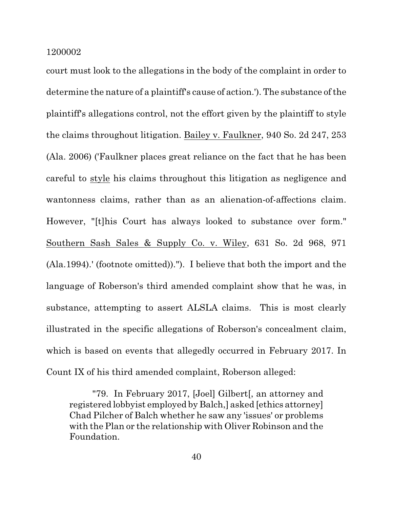court must look to the allegations in the body of the complaint in order to determine the nature of a plaintiff's cause of action.'). The substance of the plaintiff's allegations control, not the effort given by the plaintiff to style the claims throughout litigation. Bailey v. Faulkner, 940 So. 2d 247, 253 (Ala. 2006) ('Faulkner places great reliance on the fact that he has been careful to style his claims throughout this litigation as negligence and wantonness claims, rather than as an alienation-of-affections claim. However, "[t]his Court has always looked to substance over form." Southern Sash Sales & Supply Co. v. Wiley, 631 So. 2d 968, 971 (Ala.1994).' (footnote omitted))."). I believe that both the import and the language of Roberson's third amended complaint show that he was, in substance, attempting to assert ALSLA claims. This is most clearly illustrated in the specific allegations of Roberson's concealment claim, which is based on events that allegedly occurred in February 2017. In Count IX of his third amended complaint, Roberson alleged:

"79. In February 2017, [Joel] Gilbert[, an attorney and registered lobbyist employed by Balch,] asked [ethics attorney] Chad Pilcher of Balch whether he saw any 'issues' or problems with the Plan or the relationship with Oliver Robinson and the Foundation.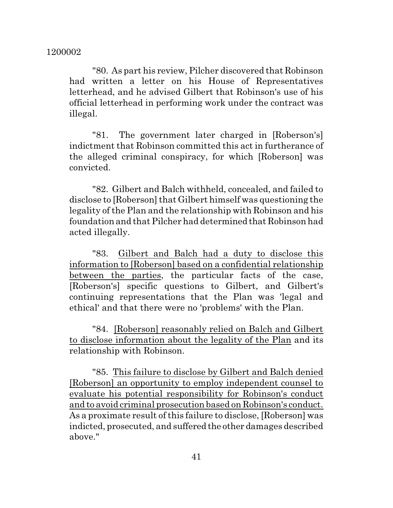"80. As part his review, Pilcher discovered that Robinson had written a letter on his House of Representatives letterhead, and he advised Gilbert that Robinson's use of his official letterhead in performing work under the contract was illegal.

"81. The government later charged in [Roberson's] indictment that Robinson committed this act in furtherance of the alleged criminal conspiracy, for which [Roberson] was convicted.

"82. Gilbert and Balch withheld, concealed, and failed to disclose to [Roberson] that Gilbert himself was questioning the legality of the Plan and the relationship with Robinson and his foundation and that Pilcher had determined that Robinson had acted illegally.

"83. Gilbert and Balch had a duty to disclose this information to [Roberson] based on a confidential relationship between the parties, the particular facts of the case, [Roberson's] specific questions to Gilbert, and Gilbert's continuing representations that the Plan was 'legal and ethical' and that there were no 'problems' with the Plan.

"84. [Roberson] reasonably relied on Balch and Gilbert to disclose information about the legality of the Plan and its relationship with Robinson.

"85. This failure to disclose by Gilbert and Balch denied [Roberson] an opportunity to employ independent counsel to evaluate his potential responsibility for Robinson's conduct and to avoid criminal prosecution based on Robinson's conduct. As a proximate result of this failure to disclose, [Roberson] was indicted, prosecuted, and suffered the other damages described above."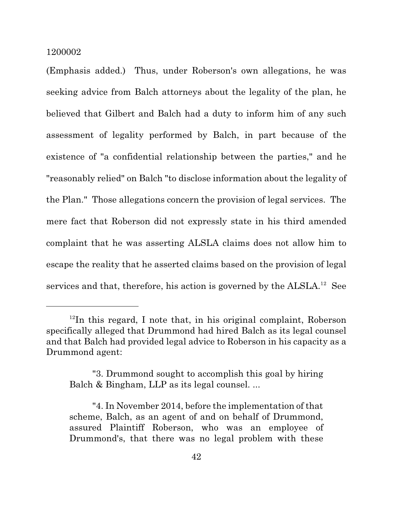(Emphasis added.) Thus, under Roberson's own allegations, he was seeking advice from Balch attorneys about the legality of the plan, he believed that Gilbert and Balch had a duty to inform him of any such assessment of legality performed by Balch, in part because of the existence of "a confidential relationship between the parties," and he "reasonably relied" on Balch "to disclose information about the legality of the Plan." Those allegations concern the provision of legal services. The mere fact that Roberson did not expressly state in his third amended complaint that he was asserting ALSLA claims does not allow him to escape the reality that he asserted claims based on the provision of legal services and that, therefore, his action is governed by the ALSLA.<sup>12</sup> See

<sup>&</sup>lt;sup>12</sup>In this regard, I note that, in his original complaint, Roberson specifically alleged that Drummond had hired Balch as its legal counsel and that Balch had provided legal advice to Roberson in his capacity as a Drummond agent:

<sup>&</sup>quot;3. Drummond sought to accomplish this goal by hiring Balch & Bingham, LLP as its legal counsel. ...

<sup>&</sup>quot;4. In November 2014, before the implementation of that scheme, Balch, as an agent of and on behalf of Drummond, assured Plaintiff Roberson, who was an employee of Drummond's, that there was no legal problem with these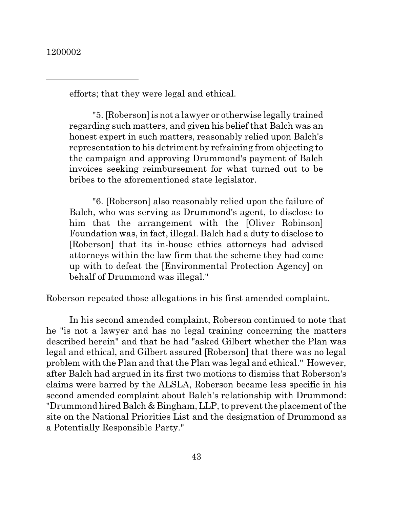efforts; that they were legal and ethical.

"5. [Roberson] is not a lawyer or otherwise legally trained regarding such matters, and given his belief that Balch was an honest expert in such matters, reasonably relied upon Balch's representation to his detriment by refraining from objecting to the campaign and approving Drummond's payment of Balch invoices seeking reimbursement for what turned out to be bribes to the aforementioned state legislator.

"6. [Roberson] also reasonably relied upon the failure of Balch, who was serving as Drummond's agent, to disclose to him that the arrangement with the [Oliver Robinson] Foundation was, in fact, illegal. Balch had a duty to disclose to [Roberson] that its in-house ethics attorneys had advised attorneys within the law firm that the scheme they had come up with to defeat the [Environmental Protection Agency] on behalf of Drummond was illegal."

Roberson repeated those allegations in his first amended complaint.

In his second amended complaint, Roberson continued to note that he "is not a lawyer and has no legal training concerning the matters described herein" and that he had "asked Gilbert whether the Plan was legal and ethical, and Gilbert assured [Roberson] that there was no legal problem with the Plan and that the Plan was legal and ethical." However, after Balch had argued in its first two motions to dismiss that Roberson's claims were barred by the ALSLA, Roberson became less specific in his second amended complaint about Balch's relationship with Drummond: "Drummond hired Balch  $&$  Bingham, LLP, to prevent the placement of the site on the National Priorities List and the designation of Drummond as a Potentially Responsible Party."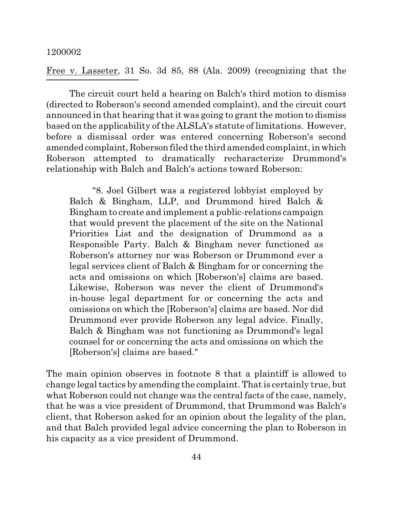Free v. Lasseter, 31 So. 3d 85, 88 (Ala. 2009) (recognizing that the

The circuit court held a hearing on Balch's third motion to dismiss (directed to Roberson's second amended complaint), and the circuit court announced in that hearing that it was going to grant the motion to dismiss based on the applicability of the ALSLA's statute of limitations. However, before a dismissal order was entered concerning Roberson's second amended complaint, Roberson filed the third amended complaint, in which Roberson attempted to dramatically recharacterize Drummond's relationship with Balch and Balch's actions toward Roberson:

"8. Joel Gilbert was a registered lobbyist employed by Balch & Bingham, LLP, and Drummond hired Balch & Bingham to create and implement a public-relations campaign that would prevent the placement of the site on the National Priorities List and the designation of Drummond as a Responsible Party. Balch & Bingham never functioned as Roberson's attorney nor was Roberson or Drummond ever a legal services client of Balch & Bingham for or concerning the acts and omissions on which [Roberson's] claims are based. Likewise, Roberson was never the client of Drummond's in-house legal department for or concerning the acts and omissions on which the [Roberson's] claims are based. Nor did Drummond ever provide Roberson any legal advice. Finally, Balch & Bingham was not functioning as Drummond's legal counsel for or concerning the acts and omissions on which the [Roberson's] claims are based."

The main opinion observes in footnote 8 that a plaintiff is allowed to change legal tactics by amending the complaint. Thatis certainly true, but what Roberson could not change was the central facts of the case, namely, that he was a vice president of Drummond, that Drummond was Balch's client, that Roberson asked for an opinion about the legality of the plan, and that Balch provided legal advice concerning the plan to Roberson in his capacity as a vice president of Drummond.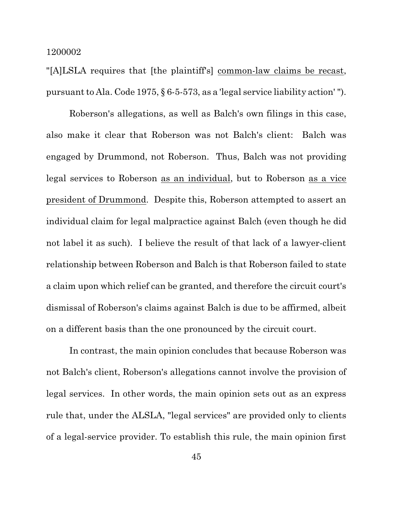"[A]LSLA requires that [the plaintiff's] common-law claims be recast, pursuant to Ala. Code 1975,  $\S 6$ -5-573, as a 'legal service liability action'").

Roberson's allegations, as well as Balch's own filings in this case, also make it clear that Roberson was not Balch's client: Balch was engaged by Drummond, not Roberson. Thus, Balch was not providing legal services to Roberson as an individual, but to Roberson as a vice president of Drummond. Despite this, Roberson attempted to assert an individual claim for legal malpractice against Balch (even though he did not label it as such). I believe the result of that lack of a lawyer-client relationship between Roberson and Balch is that Roberson failed to state a claim upon which relief can be granted, and therefore the circuit court's dismissal of Roberson's claims against Balch is due to be affirmed, albeit on a different basis than the one pronounced by the circuit court.

In contrast, the main opinion concludes that because Roberson was not Balch's client, Roberson's allegations cannot involve the provision of legal services. In other words, the main opinion sets out as an express rule that, under the ALSLA, "legal services" are provided only to clients of a legal-service provider. To establish this rule, the main opinion first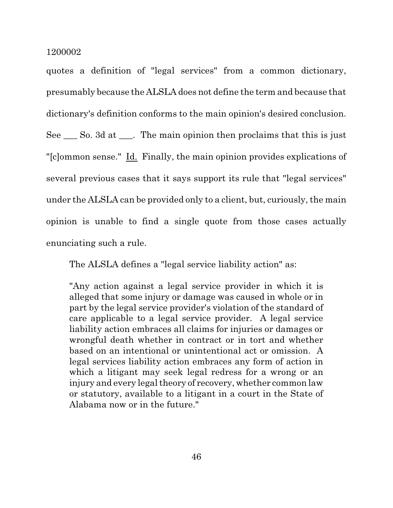quotes a definition of "legal services" from a common dictionary, presumably because the ALSLA does not define the term and because that dictionary's definition conforms to the main opinion's desired conclusion. See \_\_\_ So. 3d at \_\_\_. The main opinion then proclaims that this is just "[c]ommon sense." Id. Finally, the main opinion provides explications of several previous cases that it says support its rule that "legal services" under the ALSLA can be provided only to a client, but, curiously,the main opinion is unable to find a single quote from those cases actually enunciating such a rule.

The ALSLA defines a "legal service liability action" as:

"Any action against a legal service provider in which it is alleged that some injury or damage was caused in whole or in part by the legal service provider's violation of the standard of care applicable to a legal service provider. A legal service liability action embraces all claims for injuries or damages or wrongful death whether in contract or in tort and whether based on an intentional or unintentional act or omission. A legal services liability action embraces any form of action in which a litigant may seek legal redress for a wrong or an injury and every legal theory of recovery, whether common law or statutory, available to a litigant in a court in the State of Alabama now or in the future."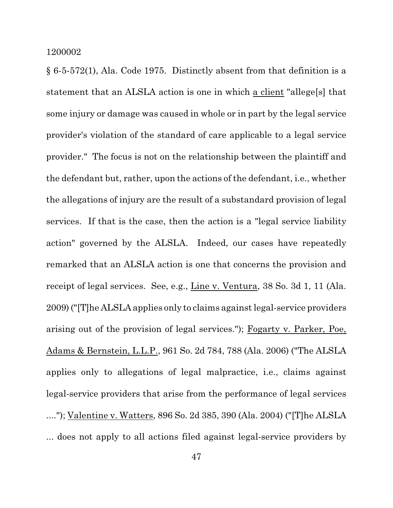§ 6-5-572(1), Ala. Code 1975. Distinctly absent from that definition is a statement that an ALSLA action is one in which a client "allege[s] that some injury or damage was caused in whole or in part by the legal service provider's violation of the standard of care applicable to a legal service provider." The focus is not on the relationship between the plaintiff and the defendant but, rather, upon the actions of the defendant, i.e., whether the allegations of injury are the result of a substandard provision of legal services. If that is the case, then the action is a "legal service liability action" governed by the ALSLA. Indeed, our cases have repeatedly remarked that an ALSLA action is one that concerns the provision and receipt of legal services. See, e.g., Line v. Ventura, 38 So. 3d 1, 11 (Ala. 2009) ("[T]he ALSLA applies only to claims againstlegal-service providers arising out of the provision of legal services."); Fogarty v. Parker, Poe, Adams & Bernstein, L.L.P., 961 So. 2d 784, 788 (Ala. 2006) ("The ALSLA applies only to allegations of legal malpractice, i.e., claims against legal-service providers that arise from the performance of legal services ...."); Valentine v. Watters, 896 So. 2d 385, 390 (Ala. 2004) ("[T]he ALSLA ... does not apply to all actions filed against legal-service providers by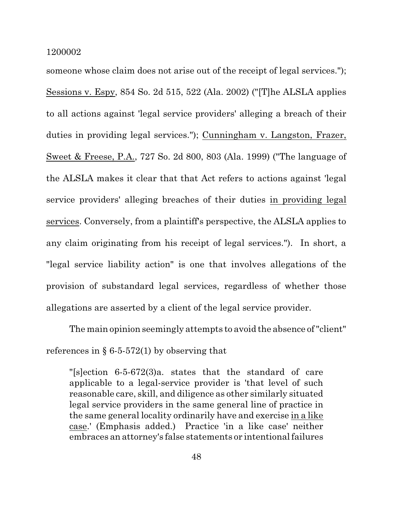someone whose claim does not arise out of the receipt of legal services."); Sessions v. Espy, 854 So. 2d 515, 522 (Ala. 2002) ("[T]he ALSLA applies to all actions against 'legal service providers' alleging a breach of their duties in providing legal services."); Cunningham v. Langston, Frazer, Sweet & Freese, P.A., 727 So. 2d 800, 803 (Ala. 1999) ("The language of the ALSLA makes it clear that that Act refers to actions against 'legal service providers' alleging breaches of their duties in providing legal services. Conversely, from a plaintiff's perspective, the ALSLA applies to any claim originating from his receipt of legal services."). In short, a "legal service liability action" is one that involves allegations of the provision of substandard legal services, regardless of whether those allegations are asserted by a client of the legal service provider.

The main opinion seemingly attempts to avoid the absence of "client" references in § 6-5-572(1) by observing that

"[s]ection 6-5-672(3)a. states that the standard of care applicable to a legal-service provider is 'that level of such reasonable care, skill, and diligence as other similarly situated legal service providers in the same general line of practice in the same general locality ordinarily have and exercise in a like case.' (Emphasis added.) Practice 'in a like case' neither embraces an attorney's false statements or intentional failures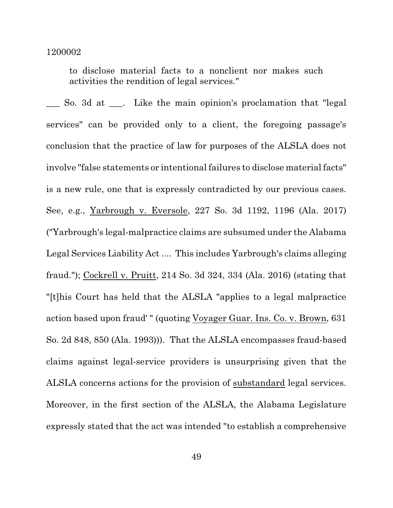to disclose material facts to a nonclient nor makes such activities the rendition of legal services."

\_\_\_ So. 3d at \_\_\_. Like the main opinion's proclamation that "legal services" can be provided only to a client, the foregoing passage's conclusion that the practice of law for purposes of the ALSLA does not involve "false statements or intentional failures to disclose material facts" is a new rule, one that is expressly contradicted by our previous cases. See, e.g., Yarbrough v. Eversole, 227 So. 3d 1192, 1196 (Ala. 2017) ("Yarbrough's legal-malpractice claims are subsumed under the Alabama Legal Services Liability Act .... This includes Yarbrough's claims alleging fraud."); Cockrell v. Pruitt, 214 So. 3d 324, 334 (Ala. 2016) (stating that "[t]his Court has held that the ALSLA "applies to a legal malpractice action based upon fraud' " (quoting Voyager Guar. Ins. Co. v. Brown, 631 So. 2d 848, 850 (Ala. 1993))). That the ALSLA encompasses fraud-based claims against legal-service providers is unsurprising given that the ALSLA concerns actions for the provision of substandard legal services. Moreover, in the first section of the ALSLA, the Alabama Legislature expressly stated that the act was intended "to establish a comprehensive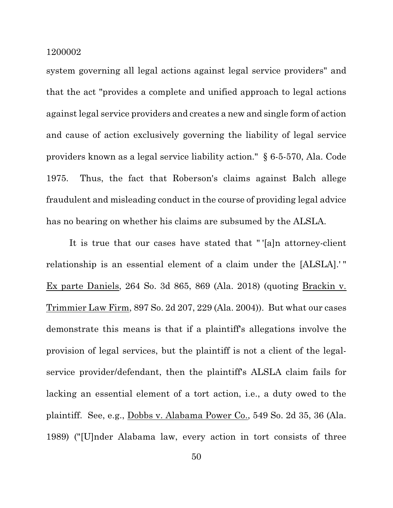system governing all legal actions against legal service providers" and that the act "provides a complete and unified approach to legal actions against legal service providers and creates a new and single form of action and cause of action exclusively governing the liability of legal service providers known as a legal service liability action." § 6-5-570, Ala. Code 1975. Thus, the fact that Roberson's claims against Balch allege fraudulent and misleading conduct in the course of providing legal advice has no bearing on whether his claims are subsumed by the ALSLA.

It is true that our cases have stated that " '[a]n attorney-client relationship is an essential element of a claim under the [ALSLA].' " Ex parte Daniels, 264 So. 3d 865, 869 (Ala. 2018) (quoting Brackin v. Trimmier Law Firm, 897 So. 2d 207, 229 (Ala. 2004)). But what our cases demonstrate this means is that if a plaintiff's allegations involve the provision of legal services, but the plaintiff is not a client of the legalservice provider/defendant, then the plaintiff's ALSLA claim fails for lacking an essential element of a tort action, i.e., a duty owed to the plaintiff. See, e.g., Dobbs v. Alabama Power Co., 549 So. 2d 35, 36 (Ala. 1989) ("[U]nder Alabama law, every action in tort consists of three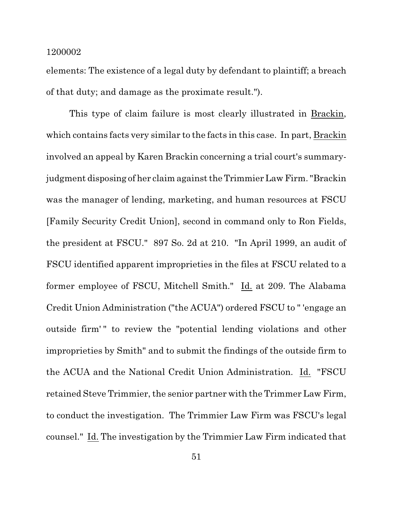elements: The existence of a legal duty by defendant to plaintiff; a breach of that duty; and damage as the proximate result.").

This type of claim failure is most clearly illustrated in Brackin, which contains facts very similar to the facts in this case. In part, Brackin involved an appeal by Karen Brackin concerning a trial court's summaryjudgment disposing of her claim against the Trimmier Law Firm. "Brackin was the manager of lending, marketing, and human resources at FSCU [Family Security Credit Union], second in command only to Ron Fields, the president at FSCU." 897 So. 2d at 210. "In April 1999, an audit of FSCU identified apparent improprieties in the files at FSCU related to a former employee of FSCU, Mitchell Smith." Id. at 209. The Alabama Credit Union Administration ("the ACUA") ordered FSCU to " 'engage an outside firm' " to review the "potential lending violations and other improprieties by Smith" and to submit the findings of the outside firm to the ACUA and the National Credit Union Administration. Id. "FSCU retained Steve Trimmier, the senior partner with the Trimmer Law Firm, to conduct the investigation. The Trimmier Law Firm was FSCU's legal counsel." Id. The investigation by the Trimmier Law Firm indicated that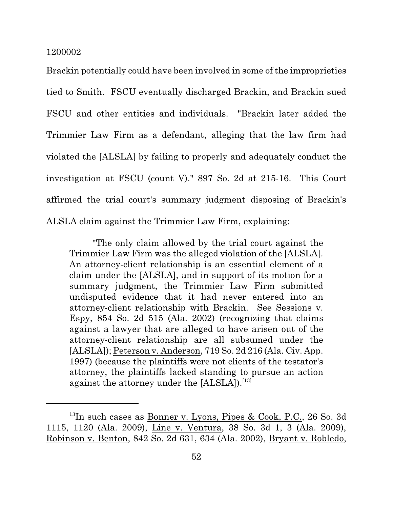Brackin potentially could have been involved in some of the improprieties tied to Smith. FSCU eventually discharged Brackin, and Brackin sued FSCU and other entities and individuals. "Brackin later added the Trimmier Law Firm as a defendant, alleging that the law firm had violated the [ALSLA] by failing to properly and adequately conduct the investigation at FSCU (count V)." 897 So. 2d at 215-16. This Court affirmed the trial court's summary judgment disposing of Brackin's ALSLA claim against the Trimmier Law Firm, explaining:

"The only claim allowed by the trial court against the Trimmier Law Firm was the alleged violation of the [ALSLA]. An attorney-client relationship is an essential element of a claim under the [ALSLA], and in support of its motion for a summary judgment, the Trimmier Law Firm submitted undisputed evidence that it had never entered into an attorney-client relationship with Brackin. See Sessions v. Espy, 854 So. 2d 515 (Ala. 2002) (recognizing that claims against a lawyer that are alleged to have arisen out of the attorney-client relationship are all subsumed under the [ALSLA]); Peterson v. Anderson, 719 So. 2d 216 (Ala. Civ. App. 1997) (because the plaintiffs were not clients of the testator's attorney, the plaintiffs lacked standing to pursue an action against the attorney under the  $[ALSLA]$ .<sup>[13]</sup>

 $^{13}$ In such cases as <u>Bonner v. Lyons, Pipes & Cook, P.C.</u>, 26 So. 3d 1115, 1120 (Ala. 2009), Line v. Ventura, 38 So. 3d 1, 3 (Ala. 2009), Robinson v. Benton, 842 So. 2d 631, 634 (Ala. 2002), Bryant v. Robledo,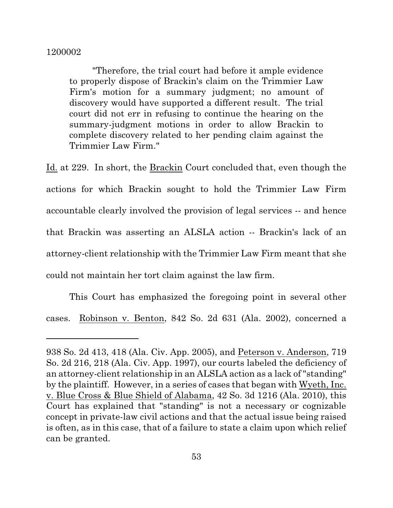"Therefore, the trial court had before it ample evidence to properly dispose of Brackin's claim on the Trimmier Law Firm's motion for a summary judgment; no amount of discovery would have supported a different result. The trial court did not err in refusing to continue the hearing on the summary-judgment motions in order to allow Brackin to complete discovery related to her pending claim against the Trimmier Law Firm."

Id. at 229. In short, the Brackin Court concluded that, even though the actions for which Brackin sought to hold the Trimmier Law Firm accountable clearly involved the provision of legal services -- and hence that Brackin was asserting an ALSLA action -- Brackin's lack of an attorney-client relationship with the Trimmier Law Firm meant that she could not maintain her tort claim against the law firm.

This Court has emphasized the foregoing point in several other cases. Robinson v. Benton, 842 So. 2d 631 (Ala. 2002), concerned a

<sup>938</sup> So. 2d 413, 418 (Ala. Civ. App. 2005), and Peterson v. Anderson, 719 So. 2d 216, 218 (Ala. Civ. App. 1997), our courts labeled the deficiency of an attorney-client relationship in an ALSLA action as a lack of "standing" by the plaintiff. However, in a series of cases that began with Wyeth, Inc. v. Blue Cross & Blue Shield of Alabama, 42 So. 3d 1216 (Ala. 2010), this Court has explained that "standing" is not a necessary or cognizable concept in private-law civil actions and that the actual issue being raised is often, as in this case, that of a failure to state a claim upon which relief can be granted.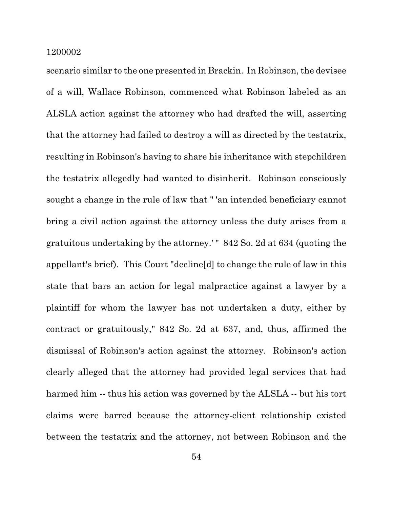scenario similar to the one presented in Brackin. In Robinson, the devisee of a will, Wallace Robinson, commenced what Robinson labeled as an ALSLA action against the attorney who had drafted the will, asserting that the attorney had failed to destroy a will as directed by the testatrix, resulting in Robinson's having to share his inheritance with stepchildren the testatrix allegedly had wanted to disinherit. Robinson consciously sought a change in the rule of law that " 'an intended beneficiary cannot bring a civil action against the attorney unless the duty arises from a gratuitous undertaking by the attorney.' " 842 So. 2d at 634 (quoting the appellant's brief). This Court "decline[d] to change the rule of law in this state that bars an action for legal malpractice against a lawyer by a plaintiff for whom the lawyer has not undertaken a duty, either by contract or gratuitously," 842 So. 2d at 637, and, thus, affirmed the dismissal of Robinson's action against the attorney. Robinson's action clearly alleged that the attorney had provided legal services that had harmed him -- thus his action was governed by the ALSLA -- but his tort claims were barred because the attorney-client relationship existed between the testatrix and the attorney, not between Robinson and the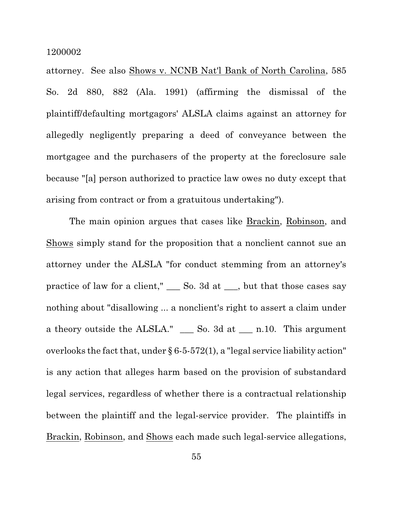attorney. See also Shows v. NCNB Nat'l Bank of North Carolina, 585 So. 2d 880, 882 (Ala. 1991) (affirming the dismissal of the plaintiff/defaulting mortgagors' ALSLA claims against an attorney for allegedly negligently preparing a deed of conveyance between the mortgagee and the purchasers of the property at the foreclosure sale because "[a] person authorized to practice law owes no duty except that arising from contract or from a gratuitous undertaking").

The main opinion argues that cases like Brackin, Robinson, and Shows simply stand for the proposition that a nonclient cannot sue an attorney under the ALSLA "for conduct stemming from an attorney's practice of law for a client," \_\_\_ So. 3d at \_\_\_, but that those cases say nothing about "disallowing ... a nonclient's right to assert a claim under a theory outside the ALSLA." \_\_\_ So. 3d at \_\_\_ n.10. This argument overlooks the fact that, under  $\S 6-5-572(1)$ , a "legal service liability action" is any action that alleges harm based on the provision of substandard legal services, regardless of whether there is a contractual relationship between the plaintiff and the legal-service provider. The plaintiffs in Brackin, Robinson, and Shows each made such legal-service allegations,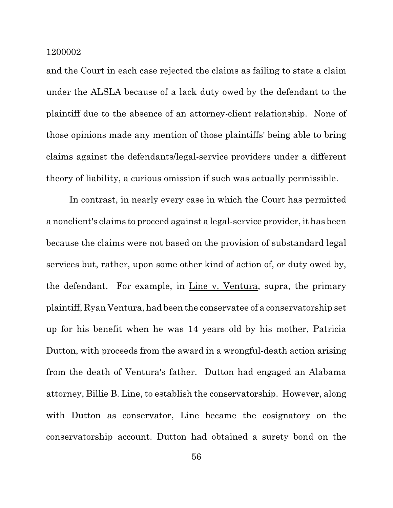and the Court in each case rejected the claims as failing to state a claim under the ALSLA because of a lack duty owed by the defendant to the plaintiff due to the absence of an attorney-client relationship. None of those opinions made any mention of those plaintiffs' being able to bring claims against the defendants/legal-service providers under a different theory of liability, a curious omission if such was actually permissible.

In contrast, in nearly every case in which the Court has permitted a nonclient's claims to proceed against a legal-service provider, it has been because the claims were not based on the provision of substandard legal services but, rather, upon some other kind of action of, or duty owed by, the defendant. For example, in Line v. Ventura, supra, the primary plaintiff, Ryan Ventura, had been the conservatee of a conservatorship set up for his benefit when he was 14 years old by his mother, Patricia Dutton, with proceeds from the award in a wrongful-death action arising from the death of Ventura's father. Dutton had engaged an Alabama attorney, Billie B. Line, to establish the conservatorship. However, along with Dutton as conservator, Line became the cosignatory on the conservatorship account. Dutton had obtained a surety bond on the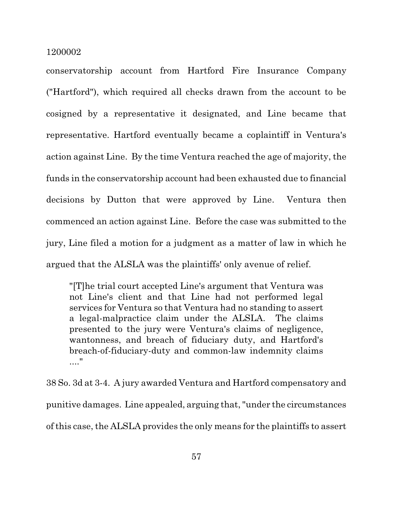conservatorship account from Hartford Fire Insurance Company ("Hartford"), which required all checks drawn from the account to be cosigned by a representative it designated, and Line became that representative. Hartford eventually became a coplaintiff in Ventura's action against Line. By the time Ventura reached the age of majority, the funds in the conservatorship account had been exhausted due to financial decisions by Dutton that were approved by Line. Ventura then commenced an action against Line. Before the case was submitted to the jury, Line filed a motion for a judgment as a matter of law in which he argued that the ALSLA was the plaintiffs' only avenue of relief.

"[T]he trial court accepted Line's argument that Ventura was not Line's client and that Line had not performed legal services for Ventura so that Ventura had no standing to assert a legal-malpractice claim under the ALSLA. The claims presented to the jury were Ventura's claims of negligence, wantonness, and breach of fiduciary duty, and Hartford's breach-of-fiduciary-duty and common-law indemnity claims ...."

38 So. 3d at 3-4. A jury awarded Ventura and Hartford compensatory and punitive damages. Line appealed, arguing that,"under the circumstances of this case, the ALSLA provides the only means for the plaintiffs to assert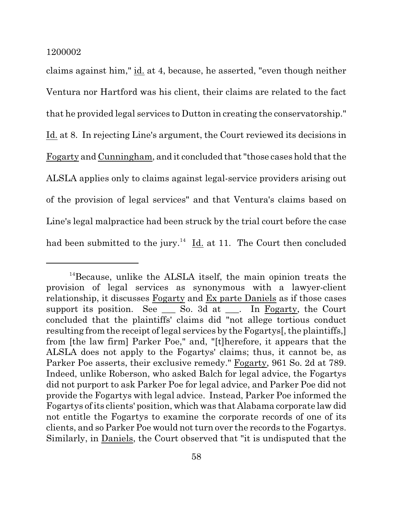claims against him," id. at 4, because, he asserted, "even though neither Ventura nor Hartford was his client, their claims are related to the fact that he provided legal services to Dutton in creating the conservatorship." Id. at 8. In rejecting Line's argument, the Court reviewed its decisions in Fogarty and Cunningham, and it concluded that "those cases hold that the ALSLA applies only to claims against legal-service providers arising out of the provision of legal services" and that Ventura's claims based on Line's legal malpractice had been struck by the trial court before the case had been submitted to the jury.<sup>14</sup> Id. at 11. The Court then concluded

<sup>&</sup>lt;sup>14</sup>Because, unlike the ALSLA itself, the main opinion treats the provision of legal services as synonymous with a lawyer-client relationship, it discusses Fogarty and Ex parte Daniels as if those cases support its position. See \_\_\_ So. 3d at \_\_\_. In Fogarty, the Court concluded that the plaintiffs' claims did "not allege tortious conduct resulting from the receipt of legal services by the Fogartys. the plaintiffs, from [the law firm] Parker Poe," and, "[t]herefore, it appears that the ALSLA does not apply to the Fogartys' claims; thus, it cannot be, as Parker Poe asserts, their exclusive remedy." Fogarty, 961 So. 2d at 789. Indeed, unlike Roberson, who asked Balch for legal advice, the Fogartys did not purport to ask Parker Poe for legal advice, and Parker Poe did not provide the Fogartys with legal advice. Instead, Parker Poe informed the Fogartys of its clients' position, which was that Alabama corporate law did not entitle the Fogartys to examine the corporate records of one of its clients, and so Parker Poe would not turn over the records to the Fogartys. Similarly, in Daniels, the Court observed that "it is undisputed that the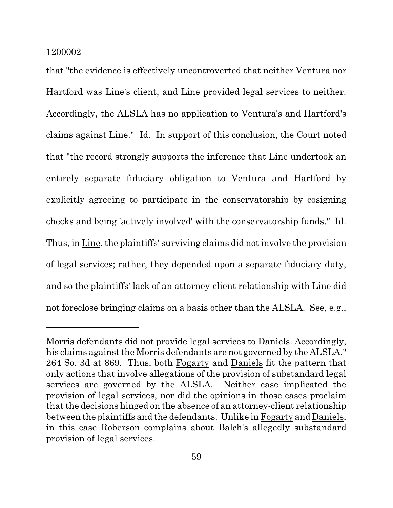that "the evidence is effectively uncontroverted that neither Ventura nor Hartford was Line's client, and Line provided legal services to neither. Accordingly, the ALSLA has no application to Ventura's and Hartford's claims against Line." Id. In support of this conclusion, the Court noted that "the record strongly supports the inference that Line undertook an entirely separate fiduciary obligation to Ventura and Hartford by explicitly agreeing to participate in the conservatorship by cosigning checks and being 'actively involved' with the conservatorship funds." Id. Thus, in Line, the plaintiffs' surviving claims did not involve the provision of legal services; rather, they depended upon a separate fiduciary duty, and so the plaintiffs' lack of an attorney-client relationship with Line did not foreclose bringing claims on a basis other than the ALSLA. See, e.g.,

Morris defendants did not provide legal services to Daniels. Accordingly, his claims against the Morris defendants are not governed by the ALSLA." 264 So. 3d at 869. Thus, both Fogarty and Daniels fit the pattern that only actions that involve allegations of the provision of substandard legal services are governed by the ALSLA. Neither case implicated the provision of legal services, nor did the opinions in those cases proclaim that the decisions hinged on the absence of an attorney-client relationship between the plaintiffs and the defendants. Unlike in Fogarty and Daniels, in this case Roberson complains about Balch's allegedly substandard provision of legal services.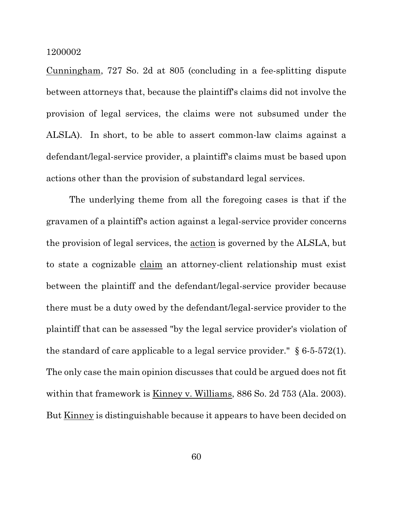Cunningham, 727 So. 2d at 805 (concluding in a fee-splitting dispute between attorneys that, because the plaintiff's claims did not involve the provision of legal services, the claims were not subsumed under the ALSLA). In short, to be able to assert common-law claims against a defendant/legal-service provider, a plaintiff's claims must be based upon actions other than the provision of substandard legal services.

The underlying theme from all the foregoing cases is that if the gravamen of a plaintiff's action against a legal-service provider concerns the provision of legal services, the action is governed by the ALSLA, but to state a cognizable claim an attorney-client relationship must exist between the plaintiff and the defendant/legal-service provider because there must be a duty owed by the defendant/legal-service provider to the plaintiff that can be assessed "by the legal service provider's violation of the standard of care applicable to a legal service provider."  $\S 6-5-572(1)$ . The only case the main opinion discusses that could be argued does not fit within that framework is <u>Kinney v. Williams</u>, 886 So. 2d 753 (Ala. 2003). But Kinney is distinguishable because it appears to have been decided on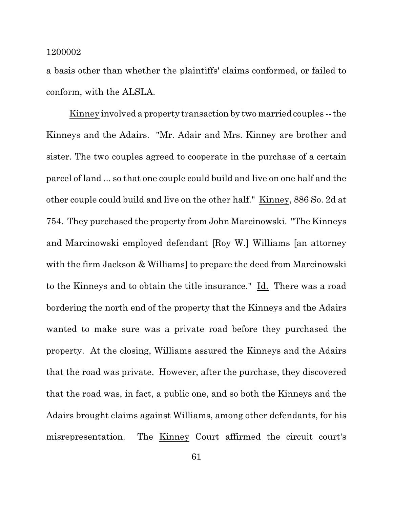a basis other than whether the plaintiffs' claims conformed, or failed to conform, with the ALSLA.

Kinney involved a property transaction by two married couples -- the Kinneys and the Adairs. "Mr. Adair and Mrs. Kinney are brother and sister. The two couples agreed to cooperate in the purchase of a certain parcel of land ... so that one couple could build and live on one half and the other couple could build and live on the other half." Kinney, 886 So. 2d at 754. They purchased the property from John Marcinowski. "The Kinneys and Marcinowski employed defendant [Roy W.] Williams [an attorney with the firm Jackson & Williams to prepare the deed from Marcinowski to the Kinneys and to obtain the title insurance." Id. There was a road bordering the north end of the property that the Kinneys and the Adairs wanted to make sure was a private road before they purchased the property. At the closing, Williams assured the Kinneys and the Adairs that the road was private. However, after the purchase, they discovered that the road was, in fact, a public one, and so both the Kinneys and the Adairs brought claims against Williams, among other defendants, for his misrepresentation. The Kinney Court affirmed the circuit court's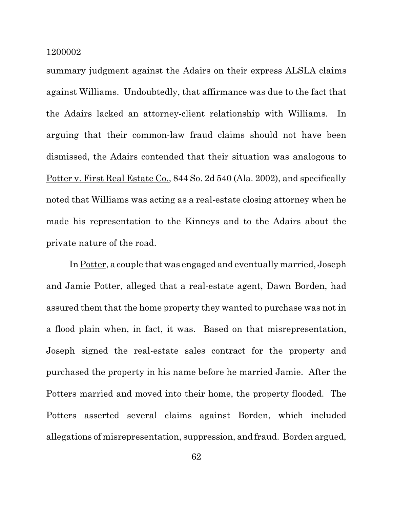summary judgment against the Adairs on their express ALSLA claims against Williams. Undoubtedly, that affirmance was due to the fact that the Adairs lacked an attorney-client relationship with Williams. In arguing that their common-law fraud claims should not have been dismissed, the Adairs contended that their situation was analogous to Potter v. First Real Estate Co., 844 So. 2d 540 (Ala. 2002), and specifically noted that Williams was acting as a real-estate closing attorney when he made his representation to the Kinneys and to the Adairs about the private nature of the road.

In Potter, a couple that was engaged and eventually married, Joseph and Jamie Potter, alleged that a real-estate agent, Dawn Borden, had assured them that the home property they wanted to purchase was not in a flood plain when, in fact, it was. Based on that misrepresentation, Joseph signed the real-estate sales contract for the property and purchased the property in his name before he married Jamie. After the Potters married and moved into their home, the property flooded. The Potters asserted several claims against Borden, which included allegations of misrepresentation, suppression, and fraud. Borden argued,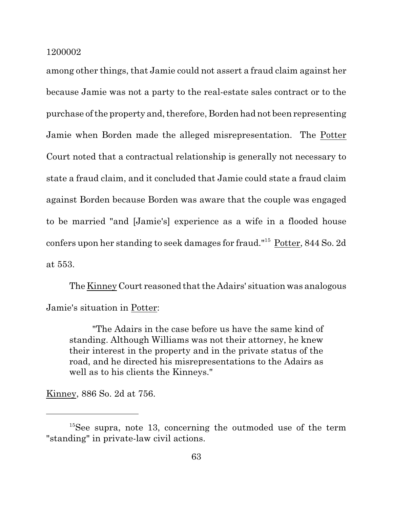among other things, that Jamie could not assert a fraud claim against her because Jamie was not a party to the real-estate sales contract or to the purchase of the property and, therefore, Borden had not been representing Jamie when Borden made the alleged misrepresentation. The Potter Court noted that a contractual relationship is generally not necessary to state a fraud claim, and it concluded that Jamie could state a fraud claim against Borden because Borden was aware that the couple was engaged to be married "and [Jamie's] experience as a wife in a flooded house confers upon her standing to seek damages for fraud."<sup>15</sup> Potter, 844 So. 2d at 553.

The Kinney Court reasoned that the Adairs' situation was analogous Jamie's situation in Potter:

"The Adairs in the case before us have the same kind of standing. Although Williams was not their attorney, he knew their interest in the property and in the private status of the road, and he directed his misrepresentations to the Adairs as well as to his clients the Kinneys."

Kinney, 886 So. 2d at 756.

 $15$ See supra, note 13, concerning the outmoded use of the term "standing" in private-law civil actions.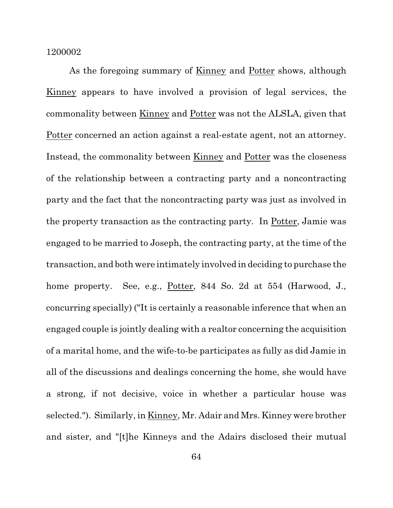As the foregoing summary of Kinney and Potter shows, although Kinney appears to have involved a provision of legal services, the commonality between Kinney and Potter was not the ALSLA, given that Potter concerned an action against a real-estate agent, not an attorney. Instead, the commonality between Kinney and Potter was the closeness of the relationship between a contracting party and a noncontracting party and the fact that the noncontracting party was just as involved in the property transaction as the contracting party. In Potter, Jamie was engaged to be married to Joseph, the contracting party, at the time of the transaction, and both were intimately involved in deciding to purchase the home property. See, e.g., Potter, 844 So. 2d at 554 (Harwood, J., concurring specially) ("It is certainly a reasonable inference that when an engaged couple is jointly dealing with a realtor concerning the acquisition of a marital home, and the wife-to-be participates as fully as did Jamie in all of the discussions and dealings concerning the home, she would have a strong, if not decisive, voice in whether a particular house was selected."). Similarly, in Kinney, Mr. Adair and Mrs. Kinney were brother and sister, and "[t]he Kinneys and the Adairs disclosed their mutual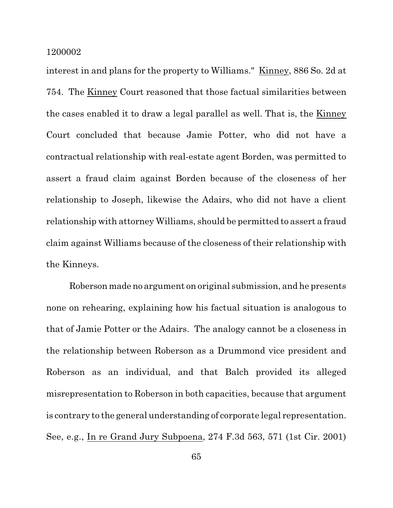interest in and plans for the property to Williams." Kinney, 886 So. 2d at 754. The Kinney Court reasoned that those factual similarities between the cases enabled it to draw a legal parallel as well. That is, the Kinney Court concluded that because Jamie Potter, who did not have a contractual relationship with real-estate agent Borden, was permitted to assert a fraud claim against Borden because of the closeness of her relationship to Joseph, likewise the Adairs, who did not have a client relationship with attorney Williams, should be permitted to assert a fraud claim against Williams because of the closeness of their relationship with the Kinneys.

Roberson made no argument on original submission, and he presents none on rehearing, explaining how his factual situation is analogous to that of Jamie Potter or the Adairs. The analogy cannot be a closeness in the relationship between Roberson as a Drummond vice president and Roberson as an individual, and that Balch provided its alleged misrepresentation to Roberson in both capacities, because that argument is contrary to the general understanding of corporate legal representation. See, e.g., In re Grand Jury Subpoena, 274 F.3d 563, 571 (1st Cir. 2001)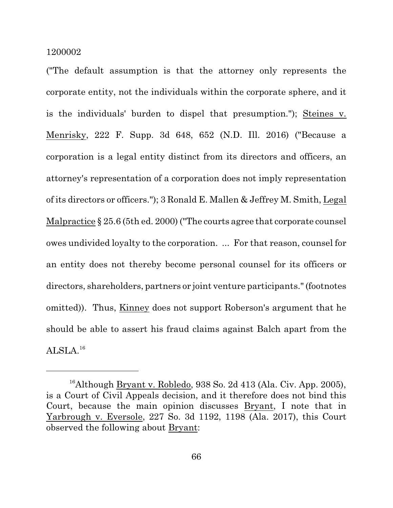("The default assumption is that the attorney only represents the corporate entity, not the individuals within the corporate sphere, and it is the individuals' burden to dispel that presumption."); Steines v. Menrisky, 222 F. Supp. 3d 648, 652 (N.D. Ill. 2016) ("Because a corporation is a legal entity distinct from its directors and officers, an attorney's representation of a corporation does not imply representation of its directors or officers."); 3 Ronald E. Mallen & Jeffrey M. Smith, Legal Malpractice § 25.6 (5th ed. 2000) ("The courts agree that corporate counsel owes undivided loyalty to the corporation. ... For that reason, counsel for an entity does not thereby become personal counsel for its officers or directors, shareholders, partners or joint venture participants."(footnotes omitted)). Thus, Kinney does not support Roberson's argument that he should be able to assert his fraud claims against Balch apart from the  $\mathrm{ALSLA}.^{16}$ 

<sup>&</sup>lt;sup>16</sup>Although Bryant v. Robledo, 938 So. 2d 413 (Ala. Civ. App. 2005), is a Court of Civil Appeals decision, and it therefore does not bind this Court, because the main opinion discusses Bryant, I note that in Yarbrough v. Eversole, 227 So. 3d 1192, 1198 (Ala. 2017), this Court observed the following about Bryant: